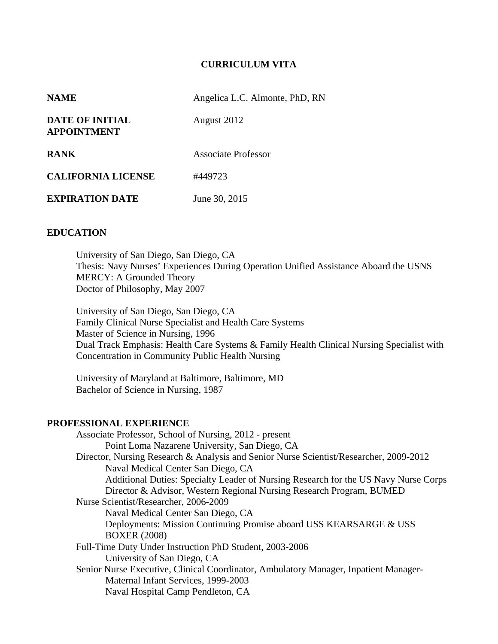### **CURRICULUM VITA**

| <b>NAME</b>                           | Angelica L.C. Almonte, PhD, RN |
|---------------------------------------|--------------------------------|
| DATE OF INITIAL<br><b>APPOINTMENT</b> | August 2012                    |
| <b>RANK</b>                           | Associate Professor            |
| <b>CALIFORNIA LICENSE</b>             | #449723                        |
| <b>EXPIRATION DATE</b>                | June 30, 2015                  |

#### **EDUCATION**

University of San Diego, San Diego, CA Thesis: Navy Nurses' Experiences During Operation Unified Assistance Aboard the USNS MERCY: A Grounded Theory Doctor of Philosophy, May 2007

University of San Diego, San Diego, CA Family Clinical Nurse Specialist and Health Care Systems Master of Science in Nursing, 1996 Dual Track Emphasis: Health Care Systems & Family Health Clinical Nursing Specialist with Concentration in Community Public Health Nursing

University of Maryland at Baltimore, Baltimore, MD Bachelor of Science in Nursing, 1987

#### **PROFESSIONAL EXPERIENCE**

 Associate Professor, School of Nursing, 2012 - present Point Loma Nazarene University, San Diego, CA Director, Nursing Research & Analysis and Senior Nurse Scientist/Researcher, 2009-2012 Naval Medical Center San Diego, CA Additional Duties: Specialty Leader of Nursing Research for the US Navy Nurse Corps Director & Advisor, Western Regional Nursing Research Program, BUMED Nurse Scientist/Researcher, 2006-2009 Naval Medical Center San Diego, CA Deployments: Mission Continuing Promise aboard USS KEARSARGE & USS BOXER (2008) Full-Time Duty Under Instruction PhD Student, 2003-2006 University of San Diego, CA Senior Nurse Executive, Clinical Coordinator, Ambulatory Manager, Inpatient Manager- Maternal Infant Services, 1999-2003 Naval Hospital Camp Pendleton, CA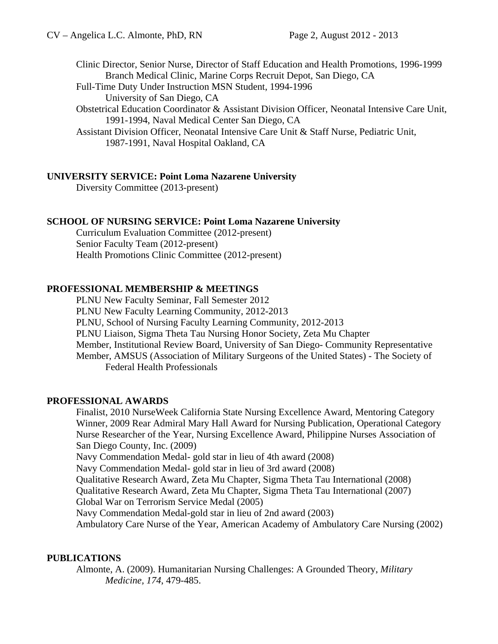Clinic Director, Senior Nurse, Director of Staff Education and Health Promotions, 1996-1999 Branch Medical Clinic, Marine Corps Recruit Depot, San Diego, CA

Full-Time Duty Under Instruction MSN Student, 1994-1996

University of San Diego, CA

 Obstetrical Education Coordinator & Assistant Division Officer, Neonatal Intensive Care Unit, 1991-1994, Naval Medical Center San Diego, CA

Assistant Division Officer, Neonatal Intensive Care Unit & Staff Nurse, Pediatric Unit, 1987-1991, Naval Hospital Oakland, CA

### **UNIVERSITY SERVICE: Point Loma Nazarene University**

Diversity Committee (2013-present)

### **SCHOOL OF NURSING SERVICE: Point Loma Nazarene University**

Curriculum Evaluation Committee (2012-present) Senior Faculty Team (2012-present) Health Promotions Clinic Committee (2012-present)

### **PROFESSIONAL MEMBERSHIP & MEETINGS**

 PLNU New Faculty Seminar, Fall Semester 2012 PLNU New Faculty Learning Community, 2012-2013 PLNU, School of Nursing Faculty Learning Community, 2012-2013 PLNU Liaison, Sigma Theta Tau Nursing Honor Society, Zeta Mu Chapter Member, Institutional Review Board, University of San Diego- Community Representative Member, AMSUS (Association of Military Surgeons of the United States) - The Society of Federal Health Professionals

### **PROFESSIONAL AWARDS**

Finalist, 2010 NurseWeek California State Nursing Excellence Award, Mentoring Category Winner, 2009 Rear Admiral Mary Hall Award for Nursing Publication, Operational Category Nurse Researcher of the Year, Nursing Excellence Award, Philippine Nurses Association of San Diego County, Inc. (2009) Navy Commendation Medal- gold star in lieu of 4th award (2008) Navy Commendation Medal- gold star in lieu of 3rd award (2008) Qualitative Research Award, Zeta Mu Chapter, Sigma Theta Tau International (2008) Qualitative Research Award, Zeta Mu Chapter, Sigma Theta Tau International (2007) Global War on Terrorism Service Medal (2005) Navy Commendation Medal-gold star in lieu of 2nd award (2003)

Ambulatory Care Nurse of the Year, American Academy of Ambulatory Care Nursing (2002)

### **PUBLICATIONS**

Almonte, A. (2009). Humanitarian Nursing Challenges: A Grounded Theory, *Military Medicine, 174*, 479-485.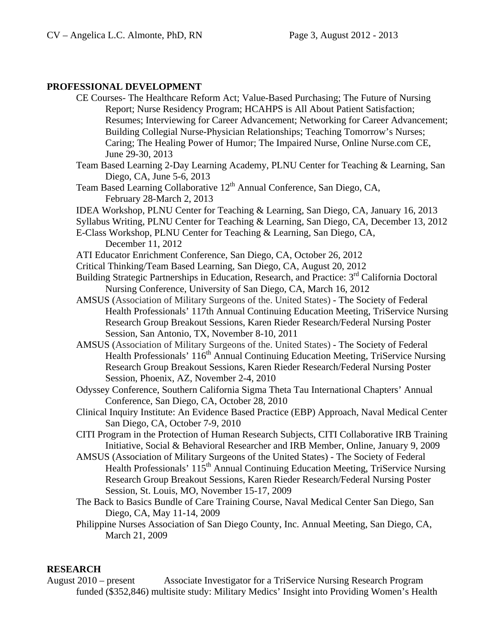### **PROFESSIONAL DEVELOPMENT**

CE Courses- The Healthcare Reform Act; Value-Based Purchasing; The Future of Nursing Report; Nurse Residency Program; HCAHPS is All About Patient Satisfaction; Resumes; Interviewing for Career Advancement; Networking for Career Advancement; Building Collegial Nurse-Physician Relationships; Teaching Tomorrow's Nurses; Caring; The Healing Power of Humor; The Impaired Nurse, Online Nurse.com CE, June 29-30, 2013 Team Based Learning 2-Day Learning Academy, PLNU Center for Teaching & Learning, San Diego, CA, June 5-6, 2013 Team Based Learning Collaborative 12<sup>th</sup> Annual Conference, San Diego, CA, February 28-March 2, 2013 IDEA Workshop, PLNU Center for Teaching & Learning, San Diego, CA, January 16, 2013 Syllabus Writing, PLNU Center for Teaching & Learning, San Diego, CA, December 13, 2012 E-Class Workshop, PLNU Center for Teaching & Learning, San Diego, CA, December 11, 2012 ATI Educator Enrichment Conference, San Diego, CA, October 26, 2012 Critical Thinking/Team Based Learning, San Diego, CA, August 20, 2012 Building Strategic Partnerships in Education, Research, and Practice: 3<sup>rd</sup> California Doctoral Nursing Conference, University of San Diego, CA, March 16, 2012 AMSUS (Association of Military Surgeons of the. United States) - The Society of Federal Health Professionals' 117th Annual Continuing Education Meeting, TriService Nursing Research Group Breakout Sessions, Karen Rieder Research/Federal Nursing Poster Session, San Antonio, TX, November 8-10, 2011 AMSUS (Association of Military Surgeons of the. United States) - The Society of Federal Health Professionals' 116<sup>th</sup> Annual Continuing Education Meeting, TriService Nursing Research Group Breakout Sessions, Karen Rieder Research/Federal Nursing Poster Session, Phoenix, AZ, November 2-4, 2010 Odyssey Conference, Southern California Sigma Theta Tau International Chapters' Annual Conference, San Diego, CA, October 28, 2010 Clinical Inquiry Institute: An Evidence Based Practice (EBP) Approach, Naval Medical Center San Diego, CA, October 7-9, 2010 CITI Program in the Protection of Human Research Subjects, CITI Collaborative IRB Training Initiative, Social & Behavioral Researcher and IRB Member, Online, January 9, 2009 AMSUS (Association of Military Surgeons of the United States) - The Society of Federal Health Professionals' 115<sup>th</sup> Annual Continuing Education Meeting, TriService Nursing Research Group Breakout Sessions, Karen Rieder Research/Federal Nursing Poster Session, St. Louis, MO, November 15-17, 2009 The Back to Basics Bundle of Care Training Course, Naval Medical Center San Diego, San Diego, CA, May 11-14, 2009 Philippine Nurses Association of San Diego County, Inc. Annual Meeting, San Diego, CA, March 21, 2009

## **RESEARCH**

August 2010 – present Associate Investigator for a TriService Nursing Research Program funded (\$352,846) multisite study: Military Medics' Insight into Providing Women's Health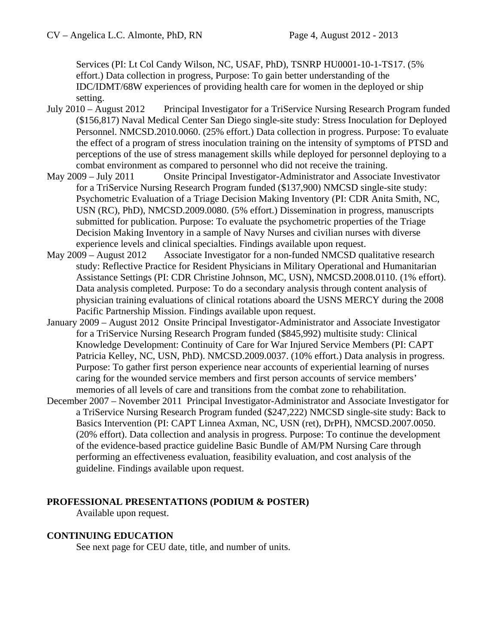Services (PI: Lt Col Candy Wilson, NC, USAF, PhD), TSNRP HU0001-10-1-TS17. (5% effort.) Data collection in progress, Purpose: To gain better understanding of the IDC/IDMT/68W experiences of providing health care for women in the deployed or ship setting.

- July 2010 August 2012 Principal Investigator for a TriService Nursing Research Program funded (\$156,817) Naval Medical Center San Diego single-site study: Stress Inoculation for Deployed Personnel. NMCSD.2010.0060. (25% effort.) Data collection in progress. Purpose: To evaluate the effect of a program of stress inoculation training on the intensity of symptoms of PTSD and perceptions of the use of stress management skills while deployed for personnel deploying to a combat environment as compared to personnel who did not receive the training.
- May 2009 July 2011 Onsite Principal Investigator-Administrator and Associate Investivator for a TriService Nursing Research Program funded (\$137,900) NMCSD single-site study: Psychometric Evaluation of a Triage Decision Making Inventory (PI: CDR Anita Smith, NC, USN (RC), PhD), NMCSD.2009.0080. (5% effort.) Dissemination in progress, manuscripts submitted for publication. Purpose: To evaluate the psychometric properties of the Triage Decision Making Inventory in a sample of Navy Nurses and civilian nurses with diverse experience levels and clinical specialties. Findings available upon request.
- May 2009 August 2012 Associate Investigator for a non-funded NMCSD qualitative research study: Reflective Practice for Resident Physicians in Military Operational and Humanitarian Assistance Settings (PI: CDR Christine Johnson, MC, USN), NMCSD.2008.0110. (1% effort). Data analysis completed. Purpose: To do a secondary analysis through content analysis of physician training evaluations of clinical rotations aboard the USNS MERCY during the 2008 Pacific Partnership Mission. Findings available upon request.
- January 2009 August 2012 Onsite Principal Investigator-Administrator and Associate Investigator for a TriService Nursing Research Program funded (\$845,992) multisite study: Clinical Knowledge Development: Continuity of Care for War Injured Service Members (PI: CAPT Patricia Kelley, NC, USN, PhD). NMCSD.2009.0037. (10% effort.) Data analysis in progress. Purpose: To gather first person experience near accounts of experiential learning of nurses caring for the wounded service members and first person accounts of service members' memories of all levels of care and transitions from the combat zone to rehabilitation.
- December 2007 November 2011 Principal Investigator-Administrator and Associate Investigator for a TriService Nursing Research Program funded (\$247,222) NMCSD single-site study: Back to Basics Intervention (PI: CAPT Linnea Axman, NC, USN (ret), DrPH), NMCSD.2007.0050. (20% effort). Data collection and analysis in progress. Purpose: To continue the development of the evidence-based practice guideline Basic Bundle of AM/PM Nursing Care through performing an effectiveness evaluation, feasibility evaluation, and cost analysis of the guideline. Findings available upon request.

## **PROFESSIONAL PRESENTATIONS (PODIUM & POSTER)**

Available upon request.

## **CONTINUING EDUCATION**

See next page for CEU date, title, and number of units.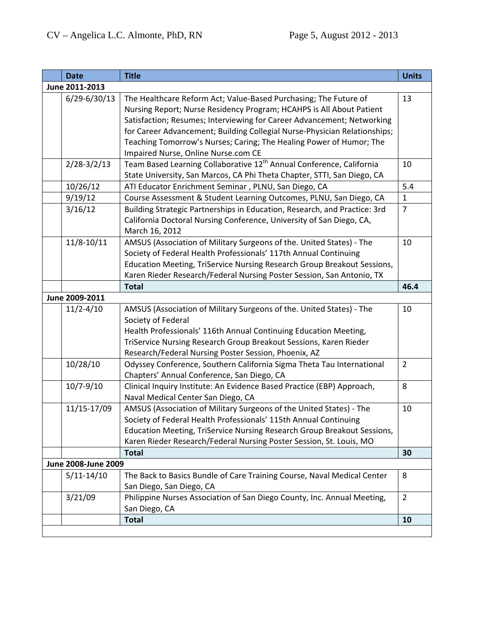| <b>Date</b>         | <b>Title</b>                                                                                                                                                                                                                                                                                                                                                                                                  | <b>Units</b>   |
|---------------------|---------------------------------------------------------------------------------------------------------------------------------------------------------------------------------------------------------------------------------------------------------------------------------------------------------------------------------------------------------------------------------------------------------------|----------------|
| June 2011-2013      |                                                                                                                                                                                                                                                                                                                                                                                                               |                |
| $6/29 - 6/30/13$    | The Healthcare Reform Act; Value-Based Purchasing; The Future of<br>Nursing Report; Nurse Residency Program; HCAHPS is All About Patient<br>Satisfaction; Resumes; Interviewing for Career Advancement; Networking<br>for Career Advancement; Building Collegial Nurse-Physician Relationships;<br>Teaching Tomorrow's Nurses; Caring; The Healing Power of Humor; The<br>Impaired Nurse, Online Nurse.com CE | 13             |
| $2/28-3/2/13$       | Team Based Learning Collaborative 12 <sup>th</sup> Annual Conference, California<br>State University, San Marcos, CA Phi Theta Chapter, STTI, San Diego, CA                                                                                                                                                                                                                                                   | 10             |
| 10/26/12            | ATI Educator Enrichment Seminar, PLNU, San Diego, CA                                                                                                                                                                                                                                                                                                                                                          | 5.4            |
| 9/19/12             | Course Assessment & Student Learning Outcomes, PLNU, San Diego, CA                                                                                                                                                                                                                                                                                                                                            | $\mathbf{1}$   |
| 3/16/12             | Building Strategic Partnerships in Education, Research, and Practice: 3rd<br>California Doctoral Nursing Conference, University of San Diego, CA,<br>March 16, 2012                                                                                                                                                                                                                                           | $\overline{7}$ |
| $11/8 - 10/11$      | AMSUS (Association of Military Surgeons of the. United States) - The<br>Society of Federal Health Professionals' 117th Annual Continuing<br>Education Meeting, TriService Nursing Research Group Breakout Sessions,<br>Karen Rieder Research/Federal Nursing Poster Session, San Antonio, TX                                                                                                                  | 10             |
|                     | <b>Total</b>                                                                                                                                                                                                                                                                                                                                                                                                  | 46.4           |
| June 2009-2011      |                                                                                                                                                                                                                                                                                                                                                                                                               |                |
| $11/2 - 4/10$       | AMSUS (Association of Military Surgeons of the. United States) - The<br>Society of Federal<br>Health Professionals' 116th Annual Continuing Education Meeting,<br>TriService Nursing Research Group Breakout Sessions, Karen Rieder<br>Research/Federal Nursing Poster Session, Phoenix, AZ                                                                                                                   | 10             |
| 10/28/10            | Odyssey Conference, Southern California Sigma Theta Tau International<br>Chapters' Annual Conference, San Diego, CA                                                                                                                                                                                                                                                                                           | $\overline{2}$ |
| $10/7 - 9/10$       | Clinical Inquiry Institute: An Evidence Based Practice (EBP) Approach,<br>Naval Medical Center San Diego, CA                                                                                                                                                                                                                                                                                                  | 8              |
| 11/15-17/09         | AMSUS (Association of Military Surgeons of the United States) - The<br>Society of Federal Health Professionals' 115th Annual Continuing<br>Education Meeting, TriService Nursing Research Group Breakout Sessions,<br>Karen Rieder Research/Federal Nursing Poster Session, St. Louis, MO                                                                                                                     | 10             |
|                     | <b>Total</b>                                                                                                                                                                                                                                                                                                                                                                                                  | 30             |
| June 2008-June 2009 |                                                                                                                                                                                                                                                                                                                                                                                                               |                |
| $5/11 - 14/10$      | The Back to Basics Bundle of Care Training Course, Naval Medical Center<br>San Diego, San Diego, CA                                                                                                                                                                                                                                                                                                           | 8              |
| 3/21/09             | Philippine Nurses Association of San Diego County, Inc. Annual Meeting,<br>San Diego, CA                                                                                                                                                                                                                                                                                                                      | $\overline{2}$ |
|                     | <b>Total</b>                                                                                                                                                                                                                                                                                                                                                                                                  | 10             |
|                     |                                                                                                                                                                                                                                                                                                                                                                                                               |                |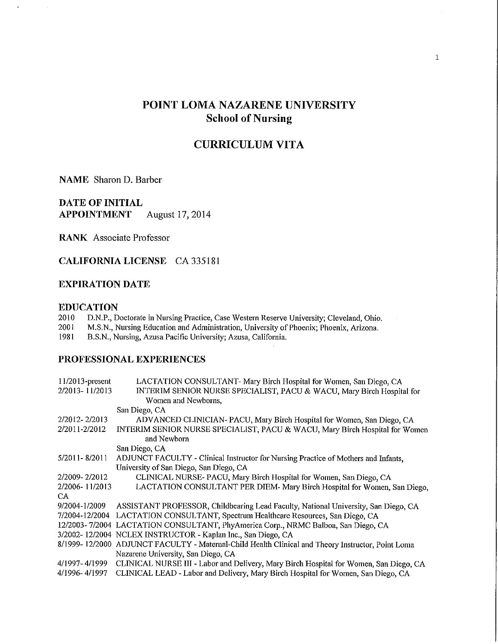# POINT LOMA NAZARENE UNIVERSITY **School of Nursing**

# **CURRICULUM VITA**

**NAME** Sharon D. Barber

 $\bar{t}$ 

**DATE OF INITIAL** August 17, 2014 **APPOINTMENT** 

**RANK** Associate Professor

**CALIFORNIA LICENSE** CA 335181

#### **EXPIRATION DATE**

#### **EDUCATION**

|  |  |  |  | 2010 D.N.P., Doctorate in Nursing Practice, Case Western Reserve University; Cleveland, Ohio |  |
|--|--|--|--|----------------------------------------------------------------------------------------------|--|
|  |  |  |  |                                                                                              |  |

2001 M.S.N., Nursing Education and Administration, University of Phoenix; Phoenix, Arizona.

1981 B.S.N., Nursing, Azusa Pacific University; Azusa, California.

### PROFESSIONAL EXPERIENCES

| $11/2013$ -present | LACTATION CONSULTANT- Mary Birch Hospital for Women, San Diego, CA                                |
|--------------------|---------------------------------------------------------------------------------------------------|
| 2/2013-11/2013     | INTERIM SENIOR NURSE SPECIALIST, PACU & WACU, Mary Birch Hospital for                             |
|                    | Women and Newborns,                                                                               |
|                    | San Diego, CA                                                                                     |
| 2/2012-2/2013      | ADVANCED CLINICIAN-PACU, Mary Birch Hospital for Women, San Diego, CA                             |
| 2/2011-2/2012      | INTERIM SENIOR NURSE SPECIALIST, PACU & WACU, Mary Birch Hospital for Women                       |
|                    | and Newborn                                                                                       |
|                    | San Diego, CA                                                                                     |
| 5/2011-8/2011      | ADJUNCT FACULTY - Clinical Instructor for Nursing Practice of Mothers and Infants,                |
|                    | University of San Diego, San Diego, CA                                                            |
| 2/2009-2/2012      | CLINICAL NURSE-PACU, Mary Birch Hospital for Women, San Diego, CA                                 |
| 2/2006-11/2013     | LACTATION CONSULTANT PER DIEM- Mary Birch Hospital for Women, San Diego,                          |
| CA.                |                                                                                                   |
| 9/2004-1/2009      | ASSISTANT PROFESSOR, Childbearing Lead Faculty, National University, San Diego, CA                |
|                    | 7/2004-12/2004 LACTATION CONSULTANT, Spectrum Healthcare Resources, San Diego, CA                 |
|                    | 12/2003-7/2004 LACTATION CONSULTANT, PhyAmerica Corp., NRMC Balboa, San Diego, CA                 |
|                    | 3/2002-12/2004 NCLEX INSTRUCTOR - Kaplan Inc., San Diego, CA                                      |
|                    | 8/1999-12/2000 ADJUNCT FACULTY - Maternal-Child Health Clinical and Theory Instructor, Point Loma |
|                    | Nazarene University, San Diego, CA                                                                |
| 4/1997-4/1999      | CLINICAL NURSE III - Labor and Delivery, Mary Birch Hospital for Women, San Diego, CA             |
| 4/1996- 4/1997     | CLINICAL LEAD - Labor and Delivery, Mary Birch Hospital for Women, San Diego, CA                  |
|                    |                                                                                                   |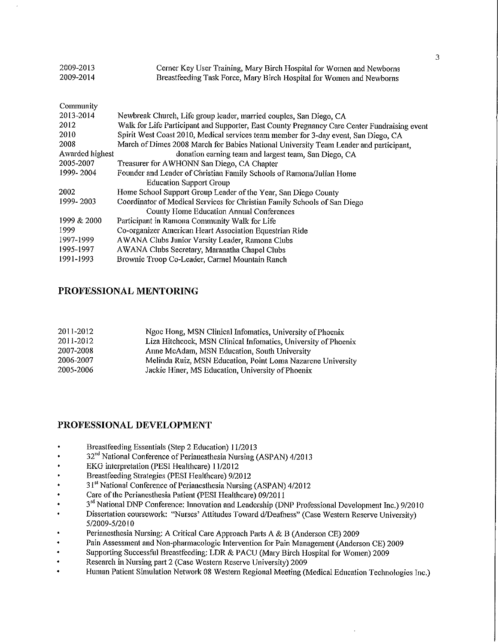| 2009-2013<br>2009-2014 | Cerner Key User Training, Mary Birch Hospital for Women and Newborns<br>Breastfeeding Task Force, Mary Birch Hospital for Women and Newborns |
|------------------------|----------------------------------------------------------------------------------------------------------------------------------------------|
| Community              |                                                                                                                                              |
| 2013-2014              | Newbreak Church, Life group leader, married couples, San Diego, CA                                                                           |
| 2012                   | Walk for Life Participant and Supporter, East County Pregnancy Care Center Fundraising event                                                 |
| 2010                   | Spirit West Coast 2010, Medical services team member for 3-day event, San Diego, CA                                                          |
| 2008                   | March of Dimes 2008 March for Babies National University Team Leader and participant,                                                        |
| Awarded highest        | donation earning team and largest team, San Diego, CA                                                                                        |
| 2005-2007              | Treasurer for AWHONN San Diego, CA Chapter                                                                                                   |
| 1999-2004              | Founder and Leader of Christian Family Schools of Ramona/Julian Home<br><b>Education Support Group</b>                                       |
| 2002                   | Home School Support Group Leader of the Year, San Diego County                                                                               |
| 1999-2003              | Coordinator of Medical Services for Christian Family Schools of San Diego<br><b>County Home Education Annual Conferences</b>                 |
| 1999 & 2000            | Participant in Ramona Community Walk for Life                                                                                                |
| 1999                   | Co-organizer American Heart Association Equestrian Ride                                                                                      |
| 1997-1999              | AWANA Clubs Junior Varsity Leader, Ramona Clubs                                                                                              |
| 1995-1997              | AWANA Clubs Secretary, Maranatha Chapel Clubs                                                                                                |
| 1991-1993              | Brownie Troop Co-Leader, Carmel Mountain Ranch                                                                                               |

#### PROFESSIONAL MENTORING

| 2011-2012 | Ngoc Hong, MSN Clinical Infomatics, University of Phoenix      |
|-----------|----------------------------------------------------------------|
| 2011-2012 | Liza Hitchcock, MSN Clinical Infomatics, University of Phoenix |
| 2007-2008 | Anne McAdam, MSN Education, South University                   |
| 2006-2007 | Melinda Ruiz, MSN Education, Point Loma Nazarene University    |
| 2005-2006 | Jackie Hiner, MS Education, University of Phoenix              |

#### PROFESSIONAL DEVELOPMENT

- Breastfeeding Essentials (Step 2 Education) 11/2013
- 32<sup>nd</sup> National Conference of Perianesthesia Nursing (ASPAN) 4/2013
- EKG interpretation (PESI Healthcare) 11/2012
- Breastfeeding Strategies (PESI Healthcare) 9/2012
- 31st National Conference of Perianesthesia Nursing (ASPAN) 4/2012
- Care of the Perianesthesia Patient (PESI Healthcare) 09/2011
- 3<sup>rd</sup> National DNP Conference: Innovation and Leadership (DNP Professional Development Inc.) 9/2010
- Dissertation coursework: "Nurses' Attitudes Toward d/Deafness" (Case Western Reserve University) 5/2009-5/2010
- Perianesthesia Nursing: A Critical Care Approach Parts A & B (Anderson CE) 2009
- Pain Assessment and Non-pharmacologic Intervention for Pain Management (Anderson CE) 2009
- Supporting Successful Breastfeeding: LDR & PACU (Mary Birch Hospital for Women) 2009
- Research in Nursing part 2 (Case Western Reserve University) 2009  $\bullet$
- Human Patient Simulation Network 08 Western Regional Meeting (Medical Education Technologies Inc.)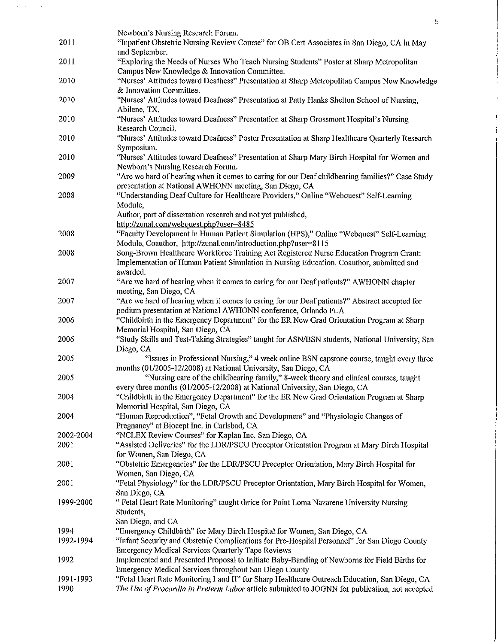|           | Newborn's Nursing Research Forum.                                                                       |
|-----------|---------------------------------------------------------------------------------------------------------|
| 2011      | "Inpatient Obstetric Nursing Review Course" for OB Cert Associates in San Diego, CA in May              |
|           | and September.                                                                                          |
| 2011      | "Exploring the Needs of Nurses Who Teach Nursing Students" Poster at Sharp Metropolitan                 |
|           | Campus New Knowledge & Innovation Committee.                                                            |
| 2010      | "Nurses' Attitudes toward Deafness" Presentation at Sharp Metropolitan Campus New Knowledge             |
|           | & Innovation Committee.                                                                                 |
| 2010      | "Nurses' Attitudes toward Deafness" Presentation at Patty Hanks Shelton School of Nursing,              |
|           | Abilene, TX.                                                                                            |
| 2010      | "Nurses' Attitudes toward Deafness" Presentation at Sharp Grossmont Hospital's Nursing                  |
|           | Research Council.                                                                                       |
| 2010      | "Nurses' Attitudes toward Deafness" Poster Presentation at Sharp Healthcare Quarterly Research          |
|           | Symposium.                                                                                              |
| 2010      | "Nurses' Attitudes toward Deafness" Presentation at Sharp Mary Birch Hospital for Women and             |
|           | Newborn's Nursing Research Forum.                                                                       |
| 2009      | "Are we hard of hearing when it comes to caring for our Deaf childbearing families?" Case Study         |
|           | presentation at National AWHONN meeting, San Diego, CA                                                  |
| 2008      | "Understanding Deaf Culture for Healthcare Providers," Online "Webquest" Self-Learning                  |
|           |                                                                                                         |
|           | Module,                                                                                                 |
|           | Author, part of dissertation research and not yet published,<br>http://zunal.com/webquest.php?user=8485 |
| 2008      | "Faculty Development in Human Patient Simulation (HPS)," Online "Webquest" Self-Learning                |
|           | Module, Coauthor, http://zunal.com/introduction.php?user=8115                                           |
| 2008      | Song-Brown Healthcare Workforce Training Act Registered Nurse Education Program Grant:                  |
|           | Implementation of Human Patient Simulation in Nursing Education. Coauthor, submitted and                |
|           | awarded.                                                                                                |
| 2007      | "Are we hard of hearing when it comes to caring for our Deaf patients?" AWHONN chapter                  |
|           | meeting, San Diego, CA                                                                                  |
| 2007      | "Are we hard of hearing when it comes to caring for our Deaf patients?" Abstract accepted for           |
|           | podium presentation at National AWHONN conference, Orlando FLA                                          |
| 2006      | "Childbirth in the Emergency Department" for the ER New Grad Orientation Program at Sharp               |
|           | Memorial Hospital, San Diego, CA                                                                        |
| 2006      | "Study Skills and Test-Taking Strategies" taught for ASN/BSN students, National University, San         |
|           | Diego, CA                                                                                               |
| 2005      | "Issues in Professional Nursing," 4 week online BSN capstone course, taught every three                 |
|           | months (01/2005-12/2008) at National University, San Diego, CA                                          |
| 2005      | "Nursing care of the childbearing family," 8-week theory and clinical courses, taught                   |
|           | every three months (01/2005-12/2008) at National University, San Diego, CA                              |
| 2004      | "Childbirth in the Emergency Department" for the ER New Grad Orientation Program at Sharp               |
|           | Memorial Hospital, San Diego, CA                                                                        |
| 2004      | "Human Reproduction", "Fetal Growth and Development" and "Physiologic Changes of                        |
|           | Pregnancy" at Biocept Inc. in Carlsbad, CA                                                              |
| 2002-2004 | "NCLEX Review Courses" for Kaplan Inc. San Diego, CA                                                    |
| 2001      | "Assisted Deliveries" for the LDR/PSCU Preceptor Orientation Program at Mary Birch Hospital             |
|           | for Women, San Diego, CA                                                                                |
| 2001      | "Obstetric Emergencies" for the LDR/PSCU Preceptor Orientation, Mary Birch Hospital for                 |
|           | Women, San Diego, CA                                                                                    |
| 2001      | "Fetal Physiology" for the LDR/PSCU Preceptor Orientation, Mary Birch Hospital for Women,               |
|           | San Diego, CA                                                                                           |
| 1999-2000 | " Fetal Heart Rate Monitoring" taught thrice for Point Loma Nazarene University Nursing                 |
|           | Students,                                                                                               |
|           | San Diego, and CA                                                                                       |
| 1994      | "Emergency Childbirth" for Mary Birch Hospital for Women, San Diego, CA                                 |
| 1992-1994 | "Infant Security and Obstetric Complications for Pre-Hospital Personnel" for San Diego County           |
|           | <b>Emergency Medical Services Quarterly Tape Reviews</b>                                                |
| 1992      | Implemented and Presented Proposal to Initiate Baby-Banding of Newborns for Field Births for            |
|           | Emergency Medical Services throughout San Diego County                                                  |
| 1991-1993 | "Fetal Heart Rate Monitoring I and II" for Sharp Healthcare Outreach Education, San Diego, CA           |
| 1990      | The Use of Procardia in Preterm Labor article submitted to JOGNN for publication, not accepted          |

 $\overline{5}$ 

 $\left\langle \left( \hat{a}^{\dagger}_{\mu} \hat{a}^{\dagger}_{\nu} \hat{a}^{\dagger}_{\nu} \hat{a}^{\dagger}_{\nu} \hat{a}^{\dagger}_{\nu} \hat{a}^{\dagger}_{\nu} \hat{a}^{\dagger}_{\nu} \right) \right\rangle$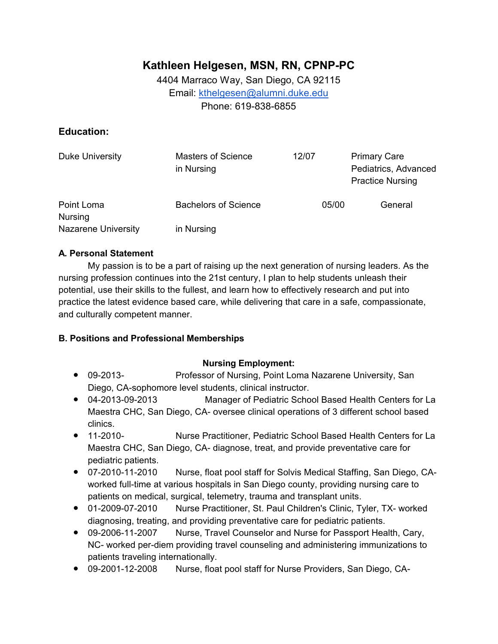# **Kathleen Helgesen, MSN, RN, CPNP-PC**

4404 Marraco Way, San Diego, CA 92115 Email: kthelgesen@alumni.duke.edu Phone: 619-838-6855

# **Education:**

| Duke University              | <b>Masters of Science</b><br>in Nursing | 12/07 | <b>Primary Care</b><br>Pediatrics, Advanced<br><b>Practice Nursing</b> |
|------------------------------|-----------------------------------------|-------|------------------------------------------------------------------------|
| Point Loma<br><b>Nursing</b> | <b>Bachelors of Science</b>             | 05/00 | General                                                                |
| <b>Nazarene University</b>   | in Nursing                              |       |                                                                        |

## **A. Personal Statement**

My passion is to be a part of raising up the next generation of nursing leaders. As the nursing profession continues into the 21st century, I plan to help students unleash their potential, use their skills to the fullest, and learn how to effectively research and put into practice the latest evidence based care, while delivering that care in a safe, compassionate, and culturally competent manner.

# **B. Positions and Professional Memberships**

## **Nursing Employment:**

- 09-2013- Professor of Nursing, Point Loma Nazarene University, San Diego, CA-sophomore level students, clinical instructor.
- 04-2013-09-2013 Manager of Pediatric School Based Health Centers for La Maestra CHC, San Diego, CA- oversee clinical operations of 3 different school based clinics.
- 11-2010- Nurse Practitioner, Pediatric School Based Health Centers for La Maestra CHC, San Diego, CA- diagnose, treat, and provide preventative care for pediatric patients.
- 07-2010-11-2010 Nurse, float pool staff for Solvis Medical Staffing, San Diego, CAworked full-time at various hospitals in San Diego county, providing nursing care to patients on medical, surgical, telemetry, trauma and transplant units.
- 01-2009-07-2010 Nurse Practitioner, St. Paul Children's Clinic, Tyler, TX- worked diagnosing, treating, and providing preventative care for pediatric patients.
- 09-2006-11-2007 Nurse, Travel Counselor and Nurse for Passport Health, Cary, NC- worked per-diem providing travel counseling and administering immunizations to patients traveling internationally.
- 09-2001-12-2008 Nurse, float pool staff for Nurse Providers, San Diego, CA-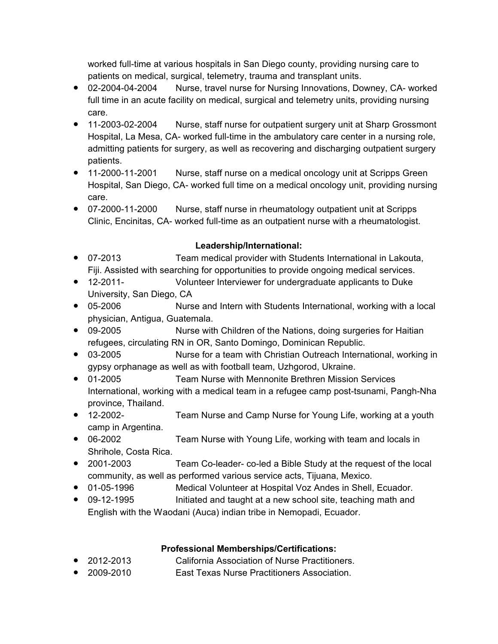worked full-time at various hospitals in San Diego county, providing nursing care to patients on medical, surgical, telemetry, trauma and transplant units.

- 02-2004-04-2004 Nurse, travel nurse for Nursing Innovations, Downey, CA- worked full time in an acute facility on medical, surgical and telemetry units, providing nursing care.
- 11-2003-02-2004 Nurse, staff nurse for outpatient surgery unit at Sharp Grossmont Hospital, La Mesa, CA- worked full-time in the ambulatory care center in a nursing role, admitting patients for surgery, as well as recovering and discharging outpatient surgery patients.
- 11-2000-11-2001 Nurse, staff nurse on a medical oncology unit at Scripps Green Hospital, San Diego, CA- worked full time on a medical oncology unit, providing nursing care.
- 07-2000-11-2000 Nurse, staff nurse in rheumatology outpatient unit at Scripps Clinic, Encinitas, CA- worked full-time as an outpatient nurse with a rheumatologist.

# **Leadership/International:**

- 07-2013 Team medical provider with Students International in Lakouta, Fiji. Assisted with searching for opportunities to provide ongoing medical services.
- 12-2011- Volunteer Interviewer for undergraduate applicants to Duke University, San Diego, CA
- 05-2006 Nurse and Intern with Students International, working with a local physician, Antigua, Guatemala.
- 09-2005 Nurse with Children of the Nations, doing surgeries for Haitian refugees, circulating RN in OR, Santo Domingo, Dominican Republic.
- 03-2005 Nurse for a team with Christian Outreach International, working in gypsy orphanage as well as with football team, Uzhgorod, Ukraine.
- 01-2005 Team Nurse with Mennonite Brethren Mission Services International, working with a medical team in a refugee camp post-tsunami, Pangh-Nha province, Thailand.
- 12-2002- Team Nurse and Camp Nurse for Young Life, working at a youth camp in Argentina.
- 06-2002 Team Nurse with Young Life, working with team and locals in Shrihole, Costa Rica.
- 2001-2003 Team Co-leader- co-led a Bible Study at the request of the local community, as well as performed various service acts, Tijuana, Mexico.
- 01-05-1996 Medical Volunteer at Hospital Voz Andes in Shell, Ecuador.
- 09-12-1995 Initiated and taught at a new school site, teaching math and English with the Waodani (Auca) indian tribe in Nemopadi, Ecuador.

# **Professional Memberships/Certifications:**

- 2012-2013 California Association of Nurse Practitioners.
- 2009-2010 East Texas Nurse Practitioners Association.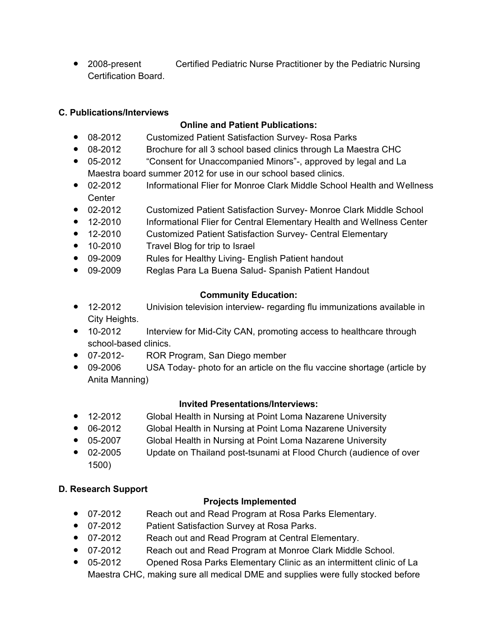● 2008-present Certified Pediatric Nurse Practitioner by the Pediatric Nursing Certification Board.

# **C. Publications/Interviews**

# **Online and Patient Publications:**

- 08-2012 Customized Patient Satisfaction Survey- Rosa Parks
- 08-2012 Brochure for all 3 school based clinics through La Maestra CHC
- 05-2012 "Consent for Unaccompanied Minors"-, approved by legal and La Maestra board summer 2012 for use in our school based clinics.
- 02-2012 Informational Flier for Monroe Clark Middle School Health and Wellness **Center**
- 02-2012 Customized Patient Satisfaction Survey- Monroe Clark Middle School
- 12-2010 Informational Flier for Central Elementary Health and Wellness Center
- 12-2010 Customized Patient Satisfaction Survey- Central Elementary
- 10-2010 Travel Blog for trip to Israel
- 09-2009 Rules for Healthy Living- English Patient handout
- 09-2009 Reglas Para La Buena Salud- Spanish Patient Handout

# **Community Education:**

- 12-2012 Univision television interview- regarding flu immunizations available in City Heights.
- 10-2012 Interview for Mid-City CAN, promoting access to healthcare through school-based clinics.
- 07-2012- ROR Program, San Diego member
- 09-2006 USA Today- photo for an article on the flu vaccine shortage (article by Anita Manning)

## **Invited Presentations/Interviews:**

- 12-2012 Global Health in Nursing at Point Loma Nazarene University
- 06-2012 Global Health in Nursing at Point Loma Nazarene University
- 05-2007 Global Health in Nursing at Point Loma Nazarene University
- 02-2005 Update on Thailand post-tsunami at Flood Church (audience of over 1500)

## **D. Research Support**

## **Projects Implemented**

- 07-2012 Reach out and Read Program at Rosa Parks Elementary.
- 07-2012 Patient Satisfaction Survey at Rosa Parks.
- 07-2012 Reach out and Read Program at Central Elementary.
- 07-2012 Reach out and Read Program at Monroe Clark Middle School.
- 05-2012 Opened Rosa Parks Elementary Clinic as an intermittent clinic of La Maestra CHC, making sure all medical DME and supplies were fully stocked before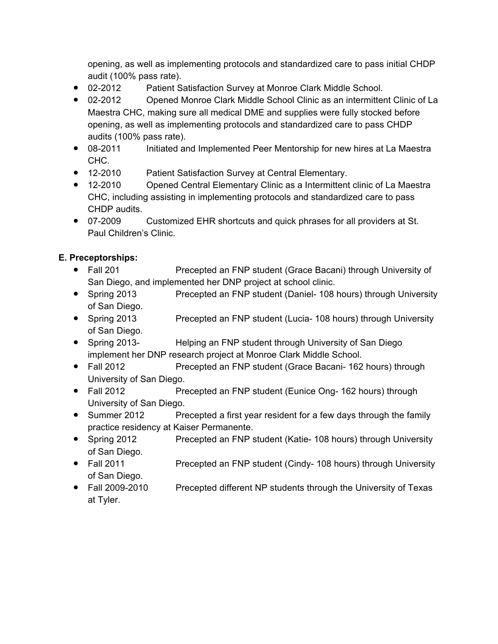opening, as well as implementing protocols and standardized care to pass initial CHDP audit (100% pass rate).

- 02-2012 Patient Satisfaction Survey at Monroe Clark Middle School.
- 02-2012 Opened Monroe Clark Middle School Clinic as an intermittent Clinic of La Maestra CHC, making sure all medical DME and supplies were fully stocked before opening, as well as implementing protocols and standardized care to pass CHDP audits (100% pass rate).
- 08-2011 Initiated and Implemented Peer Mentorship for new hires at La Maestra CHC.
- 12-2010 Patient Satisfaction Survey at Central Elementary.
- 12-2010 Opened Central Elementary Clinic as a Intermittent clinic of La Maestra CHC, including assisting in implementing protocols and standardized care to pass CHDP audits.
- 07-2009 Customized EHR shortcuts and quick phrases for all providers at St. Paul Children's Clinic.

# **E. Preceptorships:**

- Fall 201 Precepted an FNP student (Grace Bacani) through University of San Diego, and implemented her DNP project at school clinic.
- Spring 2013 Precepted an FNP student (Daniel- 108 hours) through University of San Diego.
- Spring 2013 Precepted an FNP student (Lucia- 108 hours) through University of San Diego.
- Spring 2013- Helping an FNP student through University of San Diego implement her DNP research project at Monroe Clark Middle School.
- Fall 2012 Precepted an FNP student (Grace Bacani- 162 hours) through University of San Diego.
- Fall 2012 Precepted an FNP student (Eunice Ong- 162 hours) through University of San Diego.
- Summer 2012 Precepted a first year resident for a few days through the family practice residency at Kaiser Permanente.
- Spring 2012 Precepted an FNP student (Katie- 108 hours) through University of San Diego.
- Fall 2011 Precepted an FNP student (Cindy- 108 hours) through University of San Diego.
- Fall 2009-2010 Precepted different NP students through the University of Texas at Tyler.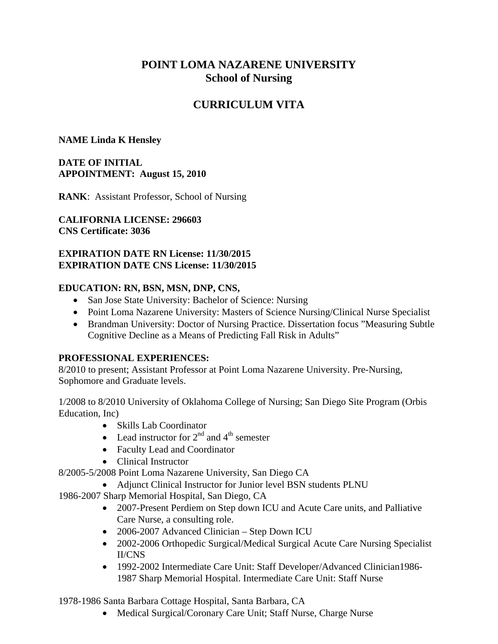# **POINT LOMA NAZARENE UNIVERSITY School of Nursing**

# **CURRICULUM VITA**

# **NAME Linda K Hensley**

# **DATE OF INITIAL APPOINTMENT: August 15, 2010**

**RANK**: Assistant Professor, School of Nursing

**CALIFORNIA LICENSE: 296603 CNS Certificate: 3036**

### **EXPIRATION DATE RN License: 11/30/2015 EXPIRATION DATE CNS License: 11/30/2015**

# **EDUCATION: RN, BSN, MSN, DNP, CNS,**

- San Jose State University: Bachelor of Science: Nursing
- Point Loma Nazarene University: Masters of Science Nursing/Clinical Nurse Specialist
- Brandman University: Doctor of Nursing Practice. Dissertation focus "Measuring Subtle Cognitive Decline as a Means of Predicting Fall Risk in Adults"

# **PROFESSIONAL EXPERIENCES:**

8/2010 to present; Assistant Professor at Point Loma Nazarene University. Pre-Nursing, Sophomore and Graduate levels.

1/2008 to 8/2010 University of Oklahoma College of Nursing; San Diego Site Program (Orbis Education, Inc)

- Skills Lab Coordinator
- Lead instructor for  $2<sup>nd</sup>$  and  $4<sup>th</sup>$  semester
- Faculty Lead and Coordinator
- Clinical Instructor

8/2005-5/2008 Point Loma Nazarene University, San Diego CA

Adjunct Clinical Instructor for Junior level BSN students PLNU

1986-2007 Sharp Memorial Hospital, San Diego, CA

- 2007-Present Perdiem on Step down ICU and Acute Care units, and Palliative Care Nurse, a consulting role.
- 2006-2007 Advanced Clinician Step Down ICU
- 2002-2006 Orthopedic Surgical/Medical Surgical Acute Care Nursing Specialist II/CNS
- 1992-2002 Intermediate Care Unit: Staff Developer/Advanced Clinician1986-1987 Sharp Memorial Hospital. Intermediate Care Unit: Staff Nurse

1978-1986 Santa Barbara Cottage Hospital, Santa Barbara, CA

Medical Surgical/Coronary Care Unit; Staff Nurse, Charge Nurse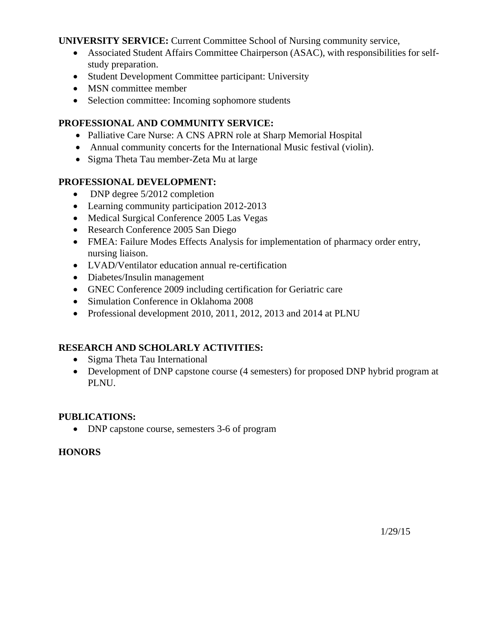**UNIVERSITY SERVICE:** Current Committee School of Nursing community service,

- Associated Student Affairs Committee Chairperson (ASAC), with responsibilities for selfstudy preparation.
- Student Development Committee participant: University
- MSN committee member
- Selection committee: Incoming sophomore students

# **PROFESSIONAL AND COMMUNITY SERVICE:**

- Palliative Care Nurse: A CNS APRN role at Sharp Memorial Hospital
- Annual community concerts for the International Music festival (violin).
- Sigma Theta Tau member-Zeta Mu at large

# **PROFESSIONAL DEVELOPMENT:**

- DNP degree 5/2012 completion
- Learning community participation 2012-2013
- Medical Surgical Conference 2005 Las Vegas
- Research Conference 2005 San Diego
- FMEA: Failure Modes Effects Analysis for implementation of pharmacy order entry, nursing liaison.
- LVAD/Ventilator education annual re-certification
- Diabetes/Insulin management
- GNEC Conference 2009 including certification for Geriatric care
- Simulation Conference in Oklahoma 2008
- Professional development 2010, 2011, 2012, 2013 and 2014 at PLNU

# **RESEARCH AND SCHOLARLY ACTIVITIES:**

- Sigma Theta Tau International
- Development of DNP capstone course (4 semesters) for proposed DNP hybrid program at PLNU.

## **PUBLICATIONS:**

DNP capstone course, semesters 3-6 of program

## **HONORS**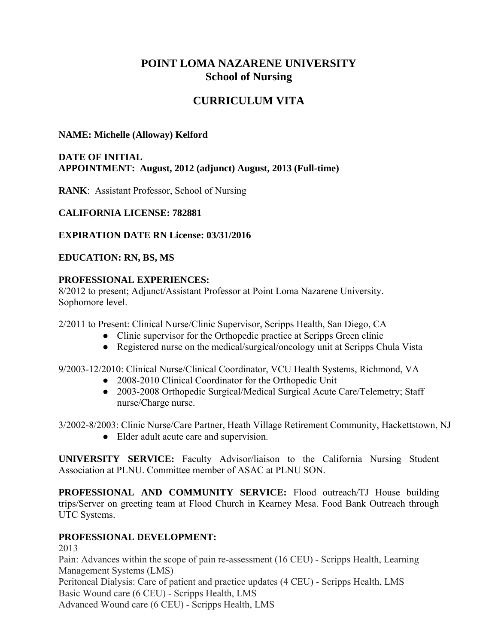# **POINT LOMA NAZARENE UNIVERSITY School of Nursing**

# **CURRICULUM VITA**

## **NAME: Michelle (Alloway) Kelford**

## **DATE OF INITIAL APPOINTMENT: August, 2012 (adjunct) August, 2013 (Full-time)**

**RANK**: Assistant Professor, School of Nursing

## **CALIFORNIA LICENSE: 782881**

**EXPIRATION DATE RN License: 03/31/2016**

## **EDUCATION: RN, BS, MS**

# **PROFESSIONAL EXPERIENCES:**

8/2012 to present; Adjunct/Assistant Professor at Point Loma Nazarene University. Sophomore level.

2/2011 to Present: Clinical Nurse/Clinic Supervisor, Scripps Health, San Diego, CA

- Clinic supervisor for the Orthopedic practice at Scripps Green clinic
- Registered nurse on the medical/surgical/oncology unit at Scripps Chula Vista

9/2003-12/2010: Clinical Nurse/Clinical Coordinator, VCU Health Systems, Richmond, VA

- 2008-2010 Clinical Coordinator for the Orthopedic Unit
- 2003-2008 Orthopedic Surgical/Medical Surgical Acute Care/Telemetry; Staff nurse/Charge nurse.

3/2002-8/2003: Clinic Nurse/Care Partner, Heath Village Retirement Community, Hackettstown, NJ

● Elder adult acute care and supervision.

**UNIVERSITY SERVICE:** Faculty Advisor/liaison to the California Nursing Student Association at PLNU. Committee member of ASAC at PLNU SON.

**PROFESSIONAL AND COMMUNITY SERVICE:** Flood outreach/TJ House building trips/Server on greeting team at Flood Church in Kearney Mesa. Food Bank Outreach through UTC Systems.

## **PROFESSIONAL DEVELOPMENT:**

2013 Pain: Advances within the scope of pain re-assessment (16 CEU) - Scripps Health, Learning Management Systems (LMS) Peritoneal Dialysis: Care of patient and practice updates (4 CEU) - Scripps Health, LMS Basic Wound care (6 CEU) - Scripps Health, LMS Advanced Wound care (6 CEU) - Scripps Health, LMS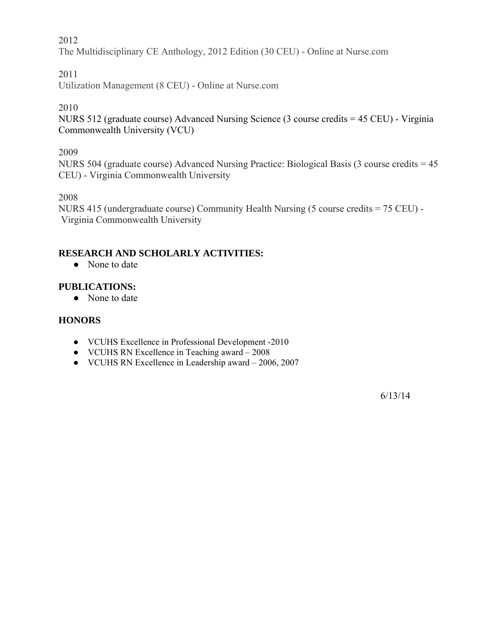# 2012

The Multidisciplinary CE Anthology, 2012 Edition (30 CEU) - Online at Nurse.com

## 2011

Utilization Management (8 CEU) - Online at Nurse.com

2010

NURS 512 (graduate course) Advanced Nursing Science (3 course credits = 45 CEU) - Virginia Commonwealth University (VCU)

2009

NURS 504 (graduate course) Advanced Nursing Practice: Biological Basis (3 course credits = 45 CEU) - Virginia Commonwealth University

2008

NURS 415 (undergraduate course) Community Health Nursing (5 course credits = 75 CEU) - Virginia Commonwealth University

# **RESEARCH AND SCHOLARLY ACTIVITIES:**

• None to date

## **PUBLICATIONS:**

• None to date

### **HONORS**

- VCUHS Excellence in Professional Development -2010
- VCUHS RN Excellence in Teaching award 2008
- VCUHS RN Excellence in Leadership award 2006, 2007

6/13/14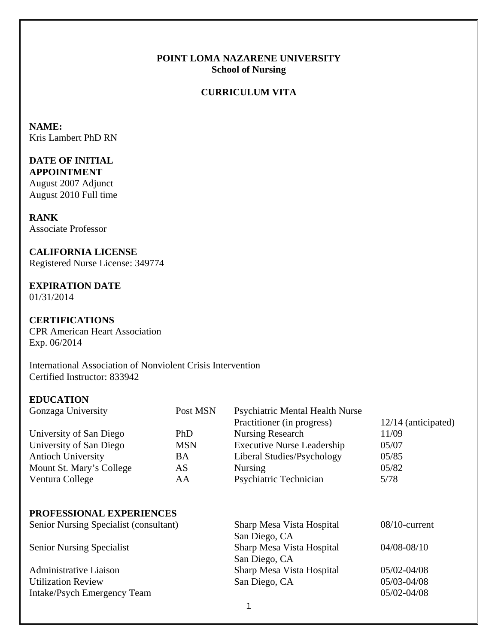### **POINT LOMA NAZARENE UNIVERSITY School of Nursing**

# **CURRICULUM VITA**

**NAME:**  Kris Lambert PhD RN

# **DATE OF INITIAL**

**APPOINTMENT** August 2007 Adjunct August 2010 Full time

# **RANK**

Associate Professor

### **CALIFORNIA LICENSE**

Registered Nurse License: 349774

# **EXPIRATION DATE**

01/31/2014

## **CERTIFICATIONS**

CPR American Heart Association Exp. 06/2014

International Association of Nonviolent Crisis Intervention Certified Instructor: 833942

## **EDUCATION**

| Gonzaga University        | Post MSN   | <b>Psychiatric Mental Health Nurse</b> |                       |
|---------------------------|------------|----------------------------------------|-----------------------|
|                           |            | Practitioner (in progress)             | $12/14$ (anticipated) |
| University of San Diego   | <b>PhD</b> | Nursing Research                       | 11/09                 |
| University of San Diego   | <b>MSN</b> | <b>Executive Nurse Leadership</b>      | 05/07                 |
| <b>Antioch University</b> | BA         | Liberal Studies/Psychology             | 05/85                 |
| Mount St. Mary's College  | AS         | <b>Nursing</b>                         | 05/82                 |
| Ventura College           | AA         | Psychiatric Technician                 | 5/78                  |

## **PROFESSIONAL EXPERIENCES**

| Senior Nursing Specialist (consultant) | Sharp Mesa Vista Hospital | $08/10$ -current |
|----------------------------------------|---------------------------|------------------|
|                                        | San Diego, CA             |                  |
| <b>Senior Nursing Specialist</b>       | Sharp Mesa Vista Hospital | $04/08 - 08/10$  |
|                                        | San Diego, CA             |                  |
| Administrative Liaison                 | Sharp Mesa Vista Hospital | $05/02 - 04/08$  |
| <b>Utilization Review</b>              | San Diego, CA             | 05/03-04/08      |
| Intake/Psych Emergency Team            |                           | 05/02-04/08      |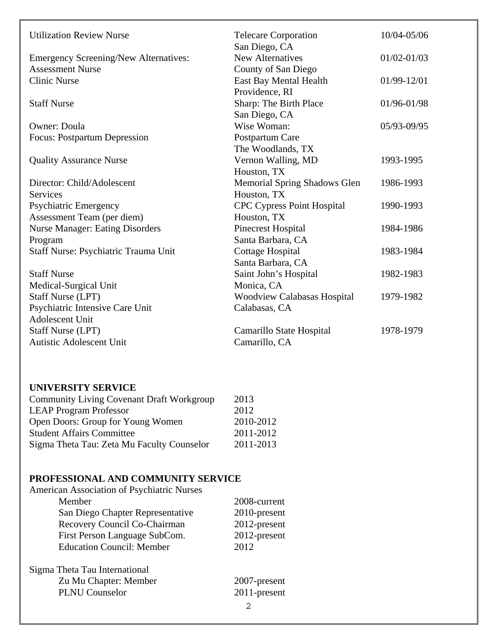| <b>Utilization Review Nurse</b>              | <b>Telecare Corporation</b>         | 10/04-05/06     |
|----------------------------------------------|-------------------------------------|-----------------|
|                                              | San Diego, CA                       |                 |
| <b>Emergency Screening/New Alternatives:</b> | <b>New Alternatives</b>             | $01/02 - 01/03$ |
| <b>Assessment Nurse</b>                      | County of San Diego                 |                 |
| <b>Clinic Nurse</b>                          | East Bay Mental Health              | 01/99-12/01     |
|                                              | Providence, RI                      |                 |
| <b>Staff Nurse</b>                           | Sharp: The Birth Place              | 01/96-01/98     |
|                                              | San Diego, CA                       |                 |
| <b>Owner: Doula</b>                          | Wise Woman:                         | 05/93-09/95     |
| <b>Focus: Postpartum Depression</b>          | Postpartum Care                     |                 |
|                                              | The Woodlands, TX                   |                 |
| <b>Quality Assurance Nurse</b>               | Vernon Walling, MD                  | 1993-1995       |
|                                              | Houston, TX                         |                 |
| Director: Child/Adolescent                   | <b>Memorial Spring Shadows Glen</b> | 1986-1993       |
| Services                                     | Houston, TX                         |                 |
| <b>Psychiatric Emergency</b>                 | <b>CPC Cypress Point Hospital</b>   | 1990-1993       |
| Assessment Team (per diem)                   | Houston, TX                         |                 |
| <b>Nurse Manager: Eating Disorders</b>       | <b>Pinecrest Hospital</b>           | 1984-1986       |
| Program                                      | Santa Barbara, CA                   |                 |
| Staff Nurse: Psychiatric Trauma Unit         | Cottage Hospital                    | 1983-1984       |
|                                              | Santa Barbara, CA                   |                 |
| <b>Staff Nurse</b>                           | Saint John's Hospital               | 1982-1983       |
| Medical-Surgical Unit                        | Monica, CA                          |                 |
| <b>Staff Nurse (LPT)</b>                     | <b>Woodview Calabasas Hospital</b>  | 1979-1982       |
| Psychiatric Intensive Care Unit              | Calabasas, CA                       |                 |
| Adolescent Unit                              |                                     |                 |
| <b>Staff Nurse (LPT)</b>                     | Camarillo State Hospital            | 1978-1979       |
| <b>Autistic Adolescent Unit</b>              | Camarillo, CA                       |                 |

## **UNIVERSITY SERVICE**

| <b>Community Living Covenant Draft Workgroup</b> | 2013      |
|--------------------------------------------------|-----------|
| <b>LEAP Program Professor</b>                    | 2012      |
| Open Doors: Group for Young Women                | 2010-2012 |
| <b>Student Affairs Committee</b>                 | 2011-2012 |
| Sigma Theta Tau: Zeta Mu Faculty Counselor       | 2011-2013 |

# **PROFESSIONAL AND COMMUNITY SERVICE**

| American Association of Psychiatric Nurses |              |
|--------------------------------------------|--------------|
| Member                                     | 2008-current |
| San Diego Chapter Representative           | 2010-present |
| Recovery Council Co-Chairman               | 2012-present |
| First Person Language SubCom.              | 2012-present |
| <b>Education Council: Member</b>           | 2012         |
| Sigma Theta Tau International              |              |
| Zu Mu Chapter: Member                      | 2007-present |
| <b>PLNU</b> Counselor                      | 2011-present |
|                                            | 2            |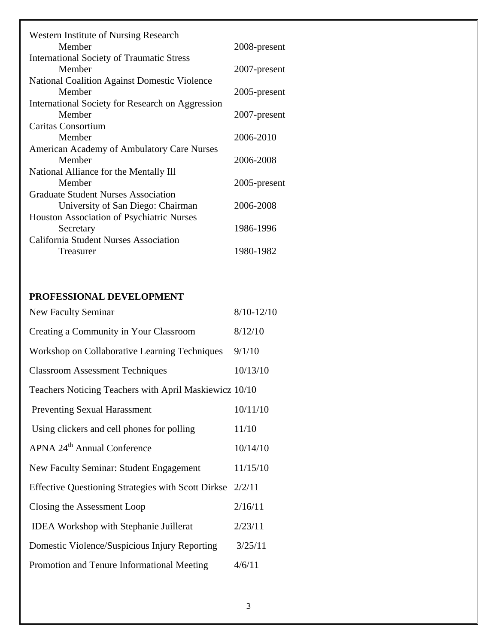| <b>Western Institute of Nursing Research</b>            |              |
|---------------------------------------------------------|--------------|
| Member                                                  | 2008-present |
| <b>International Society of Traumatic Stress</b>        |              |
| Member                                                  | 2007-present |
| <b>National Coalition Against Domestic Violence</b>     |              |
| Member                                                  | 2005-present |
| <b>International Society for Research on Aggression</b> |              |
| Member                                                  | 2007-present |
| Caritas Consortium                                      |              |
| Member                                                  | 2006-2010    |
| <b>American Academy of Ambulatory Care Nurses</b>       |              |
| Member                                                  | 2006-2008    |
| National Alliance for the Mentally Ill                  |              |
| Member                                                  | 2005-present |
| <b>Graduate Student Nurses Association</b>              |              |
| University of San Diego: Chairman                       | 2006-2008    |
| Houston Association of Psychiatric Nurses               |              |
| Secretary                                               | 1986-1996    |
| <b>California Student Nurses Association</b>            |              |
| Treasurer                                               | 1980-1982    |

# **PROFESSIONAL DEVELOPMENT**

| New Faculty Seminar                                       | $8/10 - 12/10$ |
|-----------------------------------------------------------|----------------|
| Creating a Community in Your Classroom                    | 8/12/10        |
| Workshop on Collaborative Learning Techniques             | 9/1/10         |
| <b>Classroom Assessment Techniques</b>                    | 10/13/10       |
| Teachers Noticing Teachers with April Maskiewicz 10/10    |                |
| <b>Preventing Sexual Harassment</b>                       | 10/11/10       |
| Using clickers and cell phones for polling                | 11/10          |
| APNA 24 <sup>th</sup> Annual Conference                   | 10/14/10       |
| <b>New Faculty Seminar: Student Engagement</b>            | 11/15/10       |
| Effective Questioning Strategies with Scott Dirkse 2/2/11 |                |
| Closing the Assessment Loop                               | 2/16/11        |
| <b>IDEA</b> Workshop with Stephanie Juillerat             | 2/23/11        |
| Domestic Violence/Suspicious Injury Reporting             | 3/25/11        |
| Promotion and Tenure Informational Meeting                | 4/6/11         |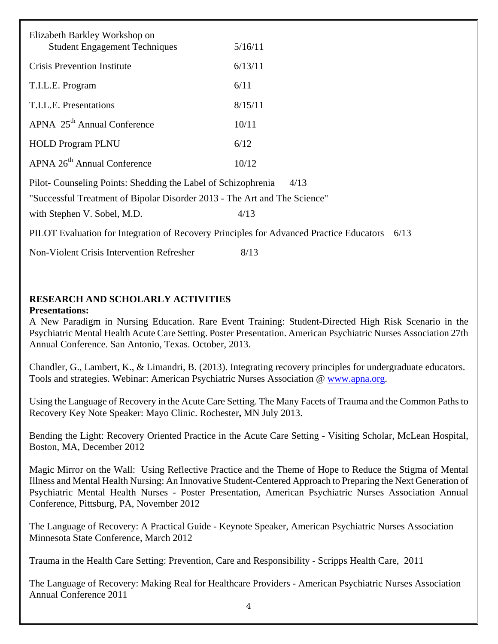| Elizabeth Barkley Workshop on<br><b>Student Engagement Techniques</b>                   | 5/16/11 |
|-----------------------------------------------------------------------------------------|---------|
| <b>Crisis Prevention Institute</b>                                                      | 6/13/11 |
| T.I.L.E. Program                                                                        | 6/11    |
| T.I.L.E. Presentations                                                                  | 8/15/11 |
| APNA 25 <sup>th</sup> Annual Conference                                                 | 10/11   |
| <b>HOLD Program PLNU</b>                                                                | 6/12    |
| APNA 26 <sup>th</sup> Annual Conference                                                 | 10/12   |
| Pilot-Counseling Points: Shedding the Label of Schizophrenia                            | 4/13    |
| "Successful Treatment of Bipolar Disorder 2013 - The Art and The Science"               |         |
| with Stephen V. Sobel, M.D.                                                             | 4/13    |
| PILOT Evaluation for Integration of Recovery Principles for Advanced Practice Educators | 6/13    |
| Non-Violent Crisis Intervention Refresher                                               | 8/13    |

**RESEARCH AND SCHOLARLY ACTIVITIES** 

## **Presentations:**

A New Paradigm in Nursing Education. Rare Event Training: Student-Directed High Risk Scenario in the Psychiatric Mental Health Acute Care Setting. Poster Presentation. American Psychiatric Nurses Association 27th Annual Conference. San Antonio, Texas. October, 2013.

Chandler, G., Lambert, K., & Limandri, B. (2013). Integrating recovery principles for undergraduate educators. Tools and strategies. Webinar: American Psychiatric Nurses Association @ www.apna.org.

Using the Language of Recovery in the Acute Care Setting. The Many Facets of Trauma and the Common Paths to Recovery Key Note Speaker: Mayo Clinic. Rochester**,** MN July 2013.

Bending the Light: Recovery Oriented Practice in the Acute Care Setting - Visiting Scholar, McLean Hospital, Boston, MA, December 2012

Magic Mirror on the Wall: Using Reflective Practice and the Theme of Hope to Reduce the Stigma of Mental Illness and Mental Health Nursing: An Innovative Student-Centered Approach to Preparing the Next Generation of Psychiatric Mental Health Nurses - Poster Presentation, American Psychiatric Nurses Association Annual Conference, Pittsburg, PA, November 2012

The Language of Recovery: A Practical Guide - Keynote Speaker, American Psychiatric Nurses Association Minnesota State Conference, March 2012

Trauma in the Health Care Setting: Prevention, Care and Responsibility - Scripps Health Care, 2011

The Language of Recovery: Making Real for Healthcare Providers - American Psychiatric Nurses Association Annual Conference 2011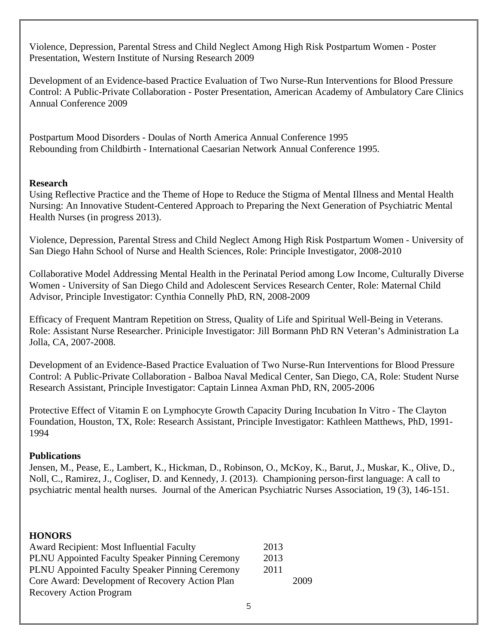Violence, Depression, Parental Stress and Child Neglect Among High Risk Postpartum Women - Poster Presentation, Western Institute of Nursing Research 2009

Development of an Evidence-based Practice Evaluation of Two Nurse-Run Interventions for Blood Pressure Control: A Public-Private Collaboration - Poster Presentation, American Academy of Ambulatory Care Clinics Annual Conference 2009

Postpartum Mood Disorders - Doulas of North America Annual Conference 1995 Rebounding from Childbirth - International Caesarian Network Annual Conference 1995.

## **Research**

Using Reflective Practice and the Theme of Hope to Reduce the Stigma of Mental Illness and Mental Health Nursing: An Innovative Student-Centered Approach to Preparing the Next Generation of Psychiatric Mental Health Nurses (in progress 2013).

Violence, Depression, Parental Stress and Child Neglect Among High Risk Postpartum Women - University of San Diego Hahn School of Nurse and Health Sciences, Role: Principle Investigator, 2008-2010

Collaborative Model Addressing Mental Health in the Perinatal Period among Low Income, Culturally Diverse Women - University of San Diego Child and Adolescent Services Research Center, Role: Maternal Child Advisor, Principle Investigator: Cynthia Connelly PhD, RN, 2008-2009

Efficacy of Frequent Mantram Repetition on Stress, Quality of Life and Spiritual Well-Being in Veterans. Role: Assistant Nurse Researcher. Priniciple Investigator: Jill Bormann PhD RN Veteran's Administration La Jolla, CA, 2007-2008.

Development of an Evidence-Based Practice Evaluation of Two Nurse-Run Interventions for Blood Pressure Control: A Public-Private Collaboration - Balboa Naval Medical Center, San Diego, CA, Role: Student Nurse Research Assistant, Principle Investigator: Captain Linnea Axman PhD, RN, 2005-2006

Protective Effect of Vitamin E on Lymphocyte Growth Capacity During Incubation In Vitro - The Clayton Foundation, Houston, TX, Role: Research Assistant, Principle Investigator: Kathleen Matthews, PhD, 1991- 1994

## **Publications**

Jensen, M., Pease, E., Lambert, K., Hickman, D., Robinson, O., McKoy, K., Barut, J., Muskar, K., Olive, D., Noll, C., Ramirez, J., Cogliser, D. and Kennedy, J. (2013). Championing person-first language: A call to psychiatric mental health nurses. Journal of the American Psychiatric Nurses Association, 19 (3), 146-151.

## **HONORS**

| <b>Award Recipient: Most Influential Faculty</b>       | 2013 |      |
|--------------------------------------------------------|------|------|
| <b>PLNU Appointed Faculty Speaker Pinning Ceremony</b> | 2013 |      |
| <b>PLNU Appointed Faculty Speaker Pinning Ceremony</b> | 2011 |      |
| Core Award: Development of Recovery Action Plan        |      | 2009 |
| <b>Recovery Action Program</b>                         |      |      |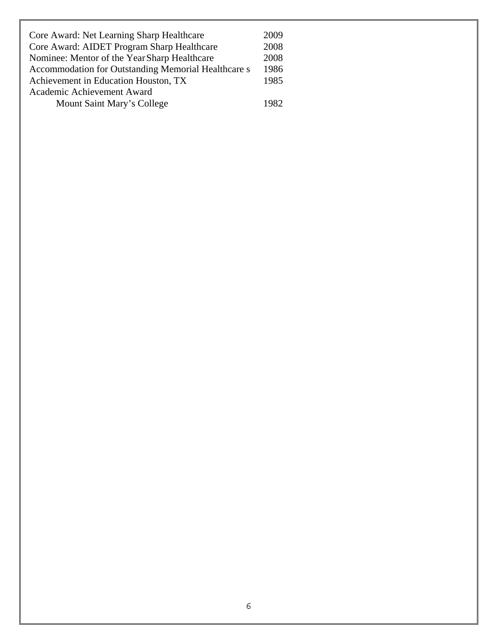| Core Award: Net Learning Sharp Healthcare           | 2009 |
|-----------------------------------------------------|------|
| Core Award: AIDET Program Sharp Healthcare          | 2008 |
| Nominee: Mentor of the Year Sharp Healthcare        | 2008 |
| Accommodation for Outstanding Memorial Healthcare s | 1986 |
| Achievement in Education Houston, TX                | 1985 |
| Academic Achievement Award                          |      |
| Mount Saint Mary's College                          | 1982 |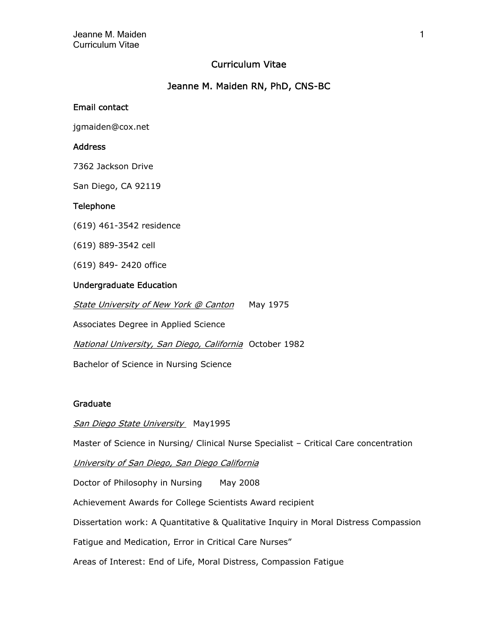### Curriculum Vitae

### Jeanne M. Maiden RN, PhD, CNS-BC

### Email contact

jgmaiden@cox.net

#### Address

7362 Jackson Drive

San Diego, CA 92119

#### Telephone

(619) 461-3542 residence

(619) 889-3542 cell

(619) 849- 2420 office

#### Undergraduate Education

State University of New York @ Canton May 1975

Associates Degree in Applied Science

National University, San Diego, California October 1982

Bachelor of Science in Nursing Science

#### Graduate

San Diego State University May1995

Master of Science in Nursing/ Clinical Nurse Specialist – Critical Care concentration

University of San Diego, San Diego California

Doctor of Philosophy in Nursing May 2008

Achievement Awards for College Scientists Award recipient

Dissertation work: A Quantitative & Qualitative Inquiry in Moral Distress Compassion

Fatigue and Medication, Error in Critical Care Nurses"

Areas of Interest: End of Life, Moral Distress, Compassion Fatigue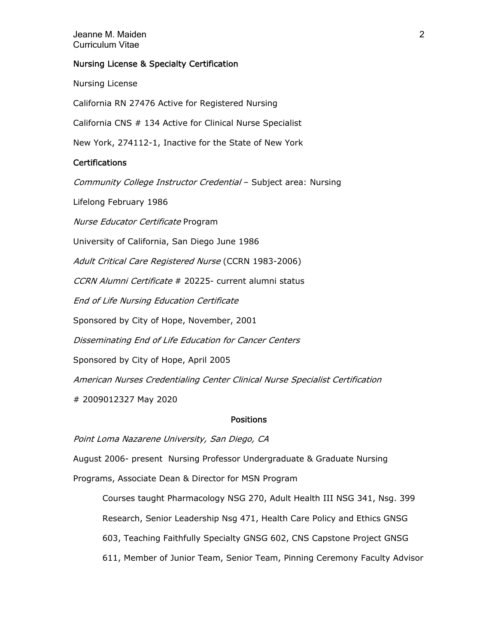#### Jeanne M. Maiden 2 Curriculum Vitae

#### Nursing License & Specialty Certification

Nursing License

California RN 27476 Active for Registered Nursing

California CNS # 134 Active for Clinical Nurse Specialist

New York, 274112-1, Inactive for the State of New York

### **Certifications**

Community College Instructor Credential – Subject area: Nursing

Lifelong February 1986

Nurse Educator Certificate Program

University of California, San Diego June 1986

Adult Critical Care Registered Nurse (CCRN 1983-2006)

CCRN Alumni Certificate # 20225- current alumni status

End of Life Nursing Education Certificate

Sponsored by City of Hope, November, 2001

Disseminating End of Life Education for Cancer Centers

Sponsored by City of Hope, April 2005

American Nurses Credentialing Center Clinical Nurse Specialist Certification

# 2009012327 May 2020

#### Positions

Point Loma Nazarene University, San Diego, CA

August 2006- present Nursing Professor Undergraduate & Graduate Nursing

Programs, Associate Dean & Director for MSN Program

Courses taught Pharmacology NSG 270, Adult Health III NSG 341, Nsg. 399 Research, Senior Leadership Nsg 471, Health Care Policy and Ethics GNSG 603, Teaching Faithfully Specialty GNSG 602, CNS Capstone Project GNSG 611, Member of Junior Team, Senior Team, Pinning Ceremony Faculty Advisor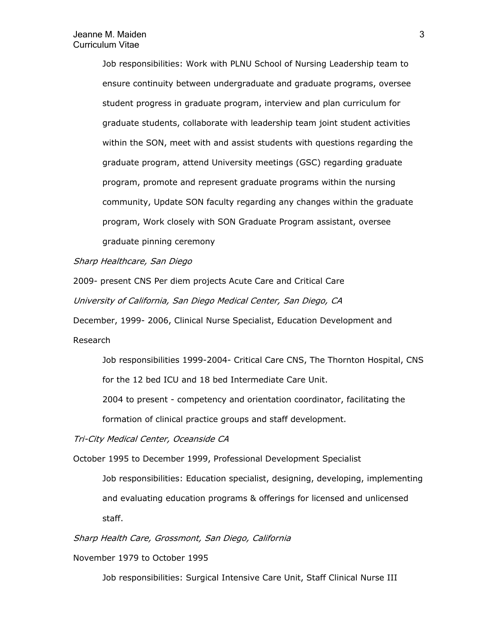Job responsibilities: Work with PLNU School of Nursing Leadership team to ensure continuity between undergraduate and graduate programs, oversee student progress in graduate program, interview and plan curriculum for graduate students, collaborate with leadership team joint student activities within the SON, meet with and assist students with questions regarding the graduate program, attend University meetings (GSC) regarding graduate program, promote and represent graduate programs within the nursing community, Update SON faculty regarding any changes within the graduate program, Work closely with SON Graduate Program assistant, oversee graduate pinning ceremony

Sharp Healthcare, San Diego

2009- present CNS Per diem projects Acute Care and Critical Care University of California, San Diego Medical Center, San Diego, CA

December, 1999- 2006, Clinical Nurse Specialist, Education Development and Research

Job responsibilities 1999-2004- Critical Care CNS, The Thornton Hospital, CNS

for the 12 bed ICU and 18 bed Intermediate Care Unit.

2004 to present - competency and orientation coordinator, facilitating the

formation of clinical practice groups and staff development.

Tri-City Medical Center, Oceanside CA

October 1995 to December 1999, Professional Development Specialist

Job responsibilities: Education specialist, designing, developing, implementing and evaluating education programs & offerings for licensed and unlicensed staff.

Sharp Health Care, Grossmont, San Diego, California

November 1979 to October 1995

Job responsibilities: Surgical Intensive Care Unit, Staff Clinical Nurse III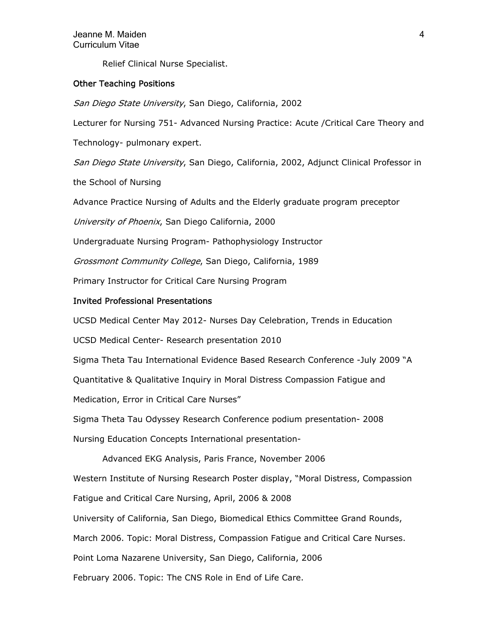Relief Clinical Nurse Specialist.

#### Other Teaching Positions

San Diego State University, San Diego, California, 2002

Lecturer for Nursing 751- Advanced Nursing Practice: Acute /Critical Care Theory and

Technology- pulmonary expert.

San Diego State University, San Diego, California, 2002, Adjunct Clinical Professor in

the School of Nursing

Advance Practice Nursing of Adults and the Elderly graduate program preceptor

University of Phoenix, San Diego California, 2000

Undergraduate Nursing Program- Pathophysiology Instructor

Grossmont Community College, San Diego, California, 1989

Primary Instructor for Critical Care Nursing Program

#### Invited Professional Presentations

UCSD Medical Center May 2012- Nurses Day Celebration, Trends in Education

UCSD Medical Center- Research presentation 2010

Sigma Theta Tau International Evidence Based Research Conference -July 2009 "A

Quantitative & Qualitative Inquiry in Moral Distress Compassion Fatigue and

Medication, Error in Critical Care Nurses"

Sigma Theta Tau Odyssey Research Conference podium presentation- 2008

Nursing Education Concepts International presentation-

Advanced EKG Analysis, Paris France, November 2006 Western Institute of Nursing Research Poster display, "Moral Distress, Compassion Fatigue and Critical Care Nursing, April, 2006 & 2008 University of California, San Diego, Biomedical Ethics Committee Grand Rounds, March 2006. Topic: Moral Distress, Compassion Fatigue and Critical Care Nurses. Point Loma Nazarene University, San Diego, California, 2006 February 2006. Topic: The CNS Role in End of Life Care.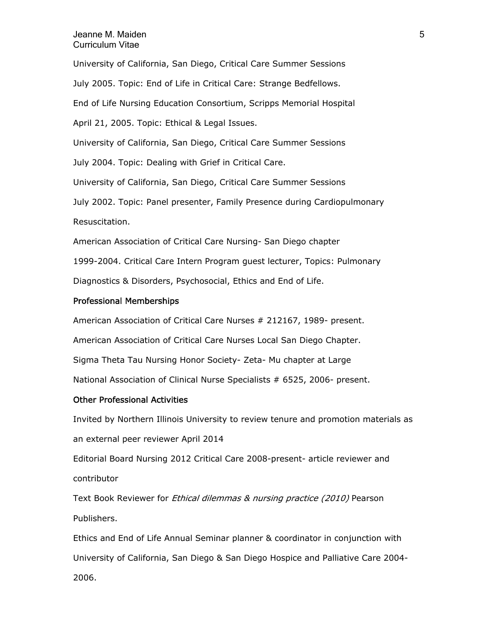#### Jeanne M. Maiden 5 Curriculum Vitae

University of California, San Diego, Critical Care Summer Sessions July 2005. Topic: End of Life in Critical Care: Strange Bedfellows. End of Life Nursing Education Consortium, Scripps Memorial Hospital April 21, 2005. Topic: Ethical & Legal Issues. University of California, San Diego, Critical Care Summer Sessions July 2004. Topic: Dealing with Grief in Critical Care. University of California, San Diego, Critical Care Summer Sessions July 2002. Topic: Panel presenter, Family Presence during Cardiopulmonary Resuscitation. American Association of Critical Care Nursing- San Diego chapter 1999-2004. Critical Care Intern Program guest lecturer, Topics: Pulmonary Diagnostics & Disorders, Psychosocial, Ethics and End of Life.

#### Professional Memberships

American Association of Critical Care Nurses # 212167, 1989- present. American Association of Critical Care Nurses Local San Diego Chapter. Sigma Theta Tau Nursing Honor Society- Zeta- Mu chapter at Large National Association of Clinical Nurse Specialists # 6525, 2006- present.

#### Other Professional Activities

Invited by Northern Illinois University to review tenure and promotion materials as an external peer reviewer April 2014

Editorial Board Nursing 2012 Critical Care 2008-present- article reviewer and contributor

Text Book Reviewer for *Ethical dilemmas & nursing practice (2010)* Pearson Publishers.

Ethics and End of Life Annual Seminar planner & coordinator in conjunction with University of California, San Diego & San Diego Hospice and Palliative Care 2004- 2006.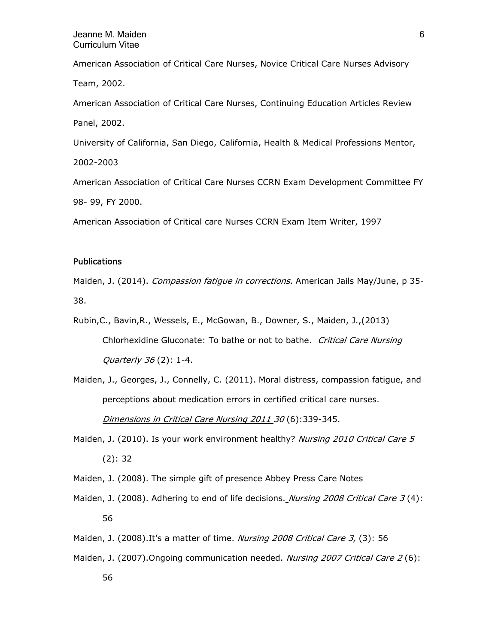American Association of Critical Care Nurses, Novice Critical Care Nurses Advisory Team, 2002. American Association of Critical Care Nurses, Continuing Education Articles Review Panel, 2002. University of California, San Diego, California, Health & Medical Professions Mentor, 2002-2003

American Association of Critical Care Nurses CCRN Exam Development Committee FY 98- 99, FY 2000.

American Association of Critical care Nurses CCRN Exam Item Writer, 1997

#### **Publications**

Maiden, J. (2014). Compassion fatigue in corrections. American Jails May/June, p 35-38.

- Rubin,C., Bavin,R., Wessels, E., McGowan, B., Downer, S., Maiden, J.,(2013) Chlorhexidine Gluconate: To bathe or not to bathe. Critical Care Nursing Quarterly 36 (2): 1-4.
- Maiden, J., Georges, J., Connelly, C. (2011). Moral distress, compassion fatigue, and perceptions about medication errors in certified critical care nurses. Dimensions in Critical Care Nursing 2011 30 (6):339-345.
- Maiden, J. (2010). Is your work environment healthy? Nursing 2010 Critical Care 5 (2): 32
- Maiden, J. (2008). The simple gift of presence Abbey Press Care Notes
- Maiden, J. (2008). Adhering to end of life decisions. *Nursing 2008 Critical Care 3* (4): 56
- Maiden, J. (2008).It's a matter of time. Nursing 2008 Critical Care 3, (3): 56
- Maiden, J. (2007). Ongoing communication needed. Nursing 2007 Critical Care 2 (6):
	- 56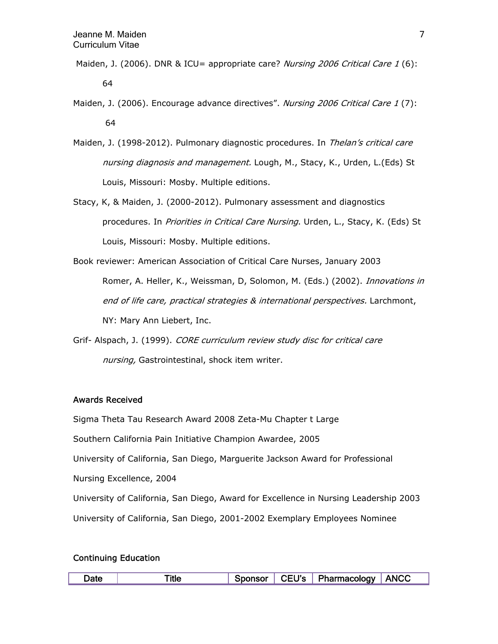- Maiden, J. (2006). DNR & ICU= appropriate care? Nursing 2006 Critical Care 1 (6): 64
- Maiden, J. (2006). Encourage advance directives". Nursing 2006 Critical Care 1 (7): 64
- Maiden, J. (1998-2012). Pulmonary diagnostic procedures. In Thelan's critical care nursing diagnosis and management. Lough, M., Stacy, K., Urden, L.(Eds) St Louis, Missouri: Mosby. Multiple editions.
- Stacy, K, & Maiden, J. (2000-2012). Pulmonary assessment and diagnostics procedures. In Priorities in Critical Care Nursing. Urden, L., Stacy, K. (Eds) St Louis, Missouri: Mosby. Multiple editions.
- Book reviewer: American Association of Critical Care Nurses, January 2003 Romer, A. Heller, K., Weissman, D, Solomon, M. (Eds.) (2002). Innovations in end of life care, practical strategies & international perspectives. Larchmont, NY: Mary Ann Liebert, Inc.
- Grif- Alspach, J. (1999). CORE curriculum review study disc for critical care nursing, Gastrointestinal, shock item writer.

### Awards Received

Sigma Theta Tau Research Award 2008 Zeta-Mu Chapter t Large

Southern California Pain Initiative Champion Awardee, 2005

University of California, San Diego, Marguerite Jackson Award for Professional

Nursing Excellence, 2004

University of California, San Diego, Award for Excellence in Nursing Leadership 2003

University of California, San Diego, 2001-2002 Exemplary Employees Nominee

#### Continuing Education

| Date: | Snonsor | CEU's   Pharmacology ' | ANCC |
|-------|---------|------------------------|------|
|       |         |                        |      |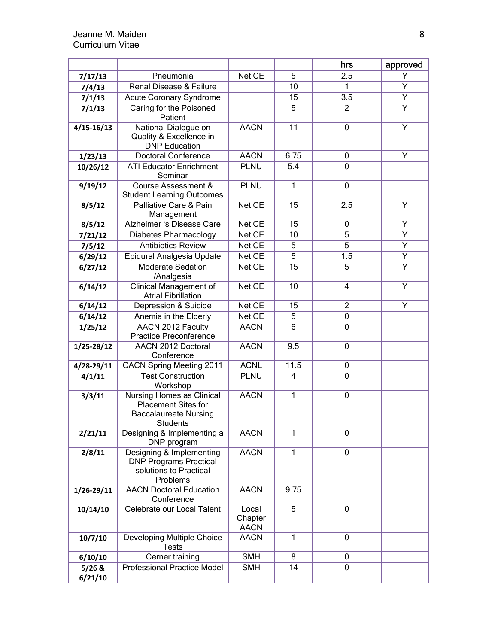|                |                                                                                                     |                                 |                 | hrs            | approved       |
|----------------|-----------------------------------------------------------------------------------------------------|---------------------------------|-----------------|----------------|----------------|
| 7/17/13        | Pneumonia                                                                                           | Net CE                          | 5               | 2.5            | Y              |
| 7/4/13         | Renal Disease & Failure                                                                             |                                 | 10              | $\mathbf{1}$   | Y              |
| 7/1/13         | <b>Acute Coronary Syndrome</b>                                                                      |                                 | 15              | 3.5            | Υ              |
| 7/1/13         | Caring for the Poisoned<br>Patient                                                                  |                                 | 5               | $\overline{2}$ | $\overline{Y}$ |
| $4/15 - 16/13$ | National Dialogue on<br>Quality & Excellence in<br><b>DNP</b> Education                             | <b>AACN</b>                     | $\overline{11}$ | 0              | Υ              |
| 1/23/13        | <b>Doctoral Conference</b>                                                                          | <b>AACN</b>                     | 6.75            | 0              | Y              |
| 10/26/12       | <b>ATI Educator Enrichment</b><br>Seminar                                                           | <b>PLNU</b>                     | 5.4             | 0              |                |
| 9/19/12        | Course Assessment &<br><b>Student Learning Outcomes</b>                                             | <b>PLNU</b>                     | $\mathbf{1}$    | 0              |                |
| 8/5/12         | Palliative Care & Pain<br>Management                                                                | Net CE                          | 15              | 2.5            | Y              |
| 8/5/12         | Alzheimer 's Disease Care                                                                           | Net CE                          | 15              | 0              | Y              |
| 7/21/12        | Diabetes Pharmacology                                                                               | Net CE                          | 10              | 5              | Y              |
| 7/5/12         | <b>Antibiotics Review</b>                                                                           | Net CE                          | 5               | $\overline{5}$ | $\overline{Y}$ |
| 6/29/12        | Epidural Analgesia Update                                                                           | Net CE                          | 5               | 1.5            | Υ              |
| 6/27/12        | <b>Moderate Sedation</b><br>/Analgesia                                                              | Net CE                          | 15              | $\overline{5}$ | $\overline{Y}$ |
| 6/14/12        | Clinical Management of<br><b>Atrial Fibrillation</b>                                                | Net CE                          | 10              | 4              | Υ              |
| 6/14/12        | Depression & Suicide                                                                                | Net CE                          | 15              | $\overline{2}$ | Y              |
| 6/14/12        | Anemia in the Elderly                                                                               | Net CE                          | 5               | $\mathbf 0$    |                |
| 1/25/12        | AACN 2012 Faculty<br><b>Practice Preconference</b>                                                  | <b>AACN</b>                     | 6               | $\mathbf 0$    |                |
| $1/25 - 28/12$ | AACN 2012 Doctoral<br>Conference                                                                    | <b>AACN</b>                     | 9.5             | $\mathbf 0$    |                |
| 4/28-29/11     | <b>CACN Spring Meeting 2011</b>                                                                     | <b>ACNL</b>                     | 11.5            | 0              |                |
| 4/1/11         | <b>Test Construction</b><br>Workshop                                                                | <b>PLNU</b>                     | 4               | $\mathbf 0$    |                |
| 3/3/11         | Nursing Homes as Clinical<br><b>Placement Sites for</b><br><b>Baccalaureate Nursing</b><br>Students | <b>AACN</b>                     | $\mathbf{1}$    | 0              |                |
| 2/21/11        | Designing & Implementing a<br>DNP program                                                           | <b>AACN</b>                     | 1               | $\mathbf 0$    |                |
| 2/8/11         | Designing & Implementing<br><b>DNP Programs Practical</b><br>solutions to Practical<br>Problems     | <b>AACN</b>                     | $\mathbf{1}$    | 0              |                |
| $1/26 - 29/11$ | <b>AACN Doctoral Education</b><br>Conference                                                        | <b>AACN</b>                     | 9.75            |                |                |
| 10/14/10       | Celebrate our Local Talent                                                                          | Local<br>Chapter<br><b>AACN</b> | $\overline{5}$  | 0              |                |
| 10/7/10        | Developing Multiple Choice<br><b>Tests</b>                                                          | <b>AACN</b>                     | $\mathbf{1}$    | 0              |                |
| 6/10/10        | Cerner training                                                                                     | <b>SMH</b>                      | $\overline{8}$  | 0              |                |
| $5/26$ &       | <b>Professional Practice Model</b>                                                                  | <b>SMH</b>                      | 14              | 0              |                |
| 6/21/10        |                                                                                                     |                                 |                 |                |                |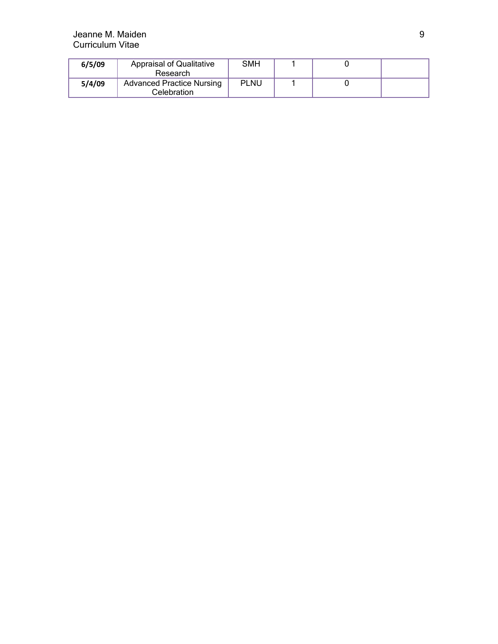### Jeanne M. Maiden 9 Curriculum Vitae

| 6/5/09 | <b>Appraisal of Qualitative</b><br>Research     | SMH         |  |  |
|--------|-------------------------------------------------|-------------|--|--|
| 5/4/09 | <b>Advanced Practice Nursing</b><br>Celebration | <b>PLNU</b> |  |  |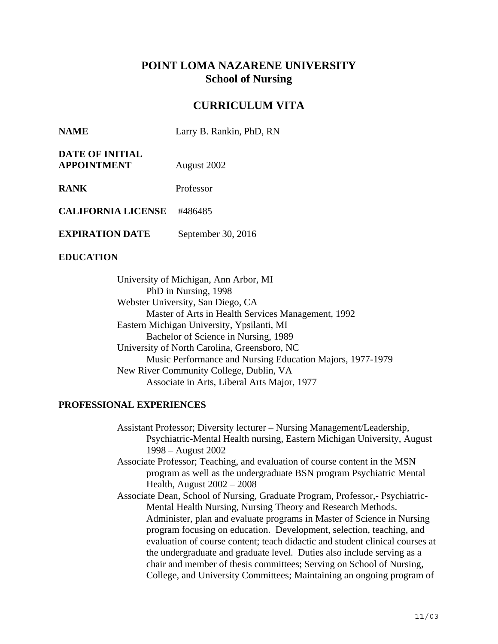# **POINT LOMA NAZARENE UNIVERSITY School of Nursing**

# **CURRICULUM VITA**

| <b>NAME</b> | Larry B. Rankin, PhD, RN |
|-------------|--------------------------|
|             |                          |

| <b>DATE OF INITIAL</b> |             |
|------------------------|-------------|
| <b>APPOINTMENT</b>     | August 2002 |

**RANK** Professor

**CALIFORNIA LICENSE** #486485

**EXPIRATION DATE** September 30, 2016

### **EDUCATION**

University of Michigan, Ann Arbor, MI PhD in Nursing, 1998 Webster University, San Diego, CA Master of Arts in Health Services Management, 1992 Eastern Michigan University, Ypsilanti, MI Bachelor of Science in Nursing, 1989 University of North Carolina, Greensboro, NC Music Performance and Nursing Education Majors, 1977-1979 New River Community College, Dublin, VA Associate in Arts, Liberal Arts Major, 1977

### **PROFESSIONAL EXPERIENCES**

- Assistant Professor; Diversity lecturer Nursing Management/Leadership, Psychiatric-Mental Health nursing, Eastern Michigan University, August 1998 – August 2002
- Associate Professor; Teaching, and evaluation of course content in the MSN program as well as the undergraduate BSN program Psychiatric Mental Health, August 2002 – 2008
- Associate Dean, School of Nursing, Graduate Program, Professor,- Psychiatric-Mental Health Nursing, Nursing Theory and Research Methods. Administer, plan and evaluate programs in Master of Science in Nursing program focusing on education. Development, selection, teaching, and evaluation of course content; teach didactic and student clinical courses at the undergraduate and graduate level. Duties also include serving as a chair and member of thesis committees; Serving on School of Nursing, College, and University Committees; Maintaining an ongoing program of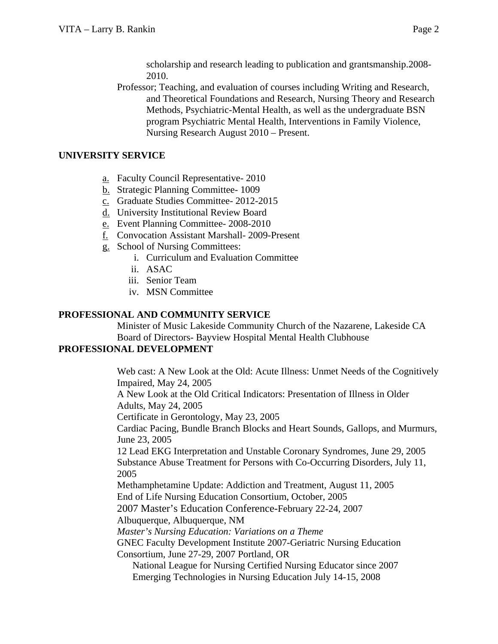scholarship and research leading to publication and grantsmanship.2008- 2010.

Professor; Teaching, and evaluation of courses including Writing and Research, and Theoretical Foundations and Research, Nursing Theory and Research Methods, Psychiatric-Mental Health, as well as the undergraduate BSN program Psychiatric Mental Health, Interventions in Family Violence, Nursing Research August 2010 – Present.

## **UNIVERSITY SERVICE**

- a. Faculty Council Representative- 2010
- b. Strategic Planning Committee- 1009
- c. Graduate Studies Committee- 2012-2015
- d. University Institutional Review Board
- e. Event Planning Committee- 2008-2010
- f. Convocation Assistant Marshall- 2009-Present
- g. School of Nursing Committees:
	- i. Curriculum and Evaluation Committee
	- ii. ASAC
	- iii. Senior Team
	- iv. MSN Committee

## **PROFESSIONAL AND COMMUNITY SERVICE**

Minister of Music Lakeside Community Church of the Nazarene, Lakeside CA Board of Directors- Bayview Hospital Mental Health Clubhouse

## **PROFESSIONAL DEVELOPMENT**

Web cast: A New Look at the Old: Acute Illness: Unmet Needs of the Cognitively Impaired, May 24, 2005

A New Look at the Old Critical Indicators: Presentation of Illness in Older Adults, May 24, 2005

Certificate in Gerontology, May 23, 2005

Cardiac Pacing, Bundle Branch Blocks and Heart Sounds, Gallops, and Murmurs, June 23, 2005

12 Lead EKG Interpretation and Unstable Coronary Syndromes, June 29, 2005 Substance Abuse Treatment for Persons with Co-Occurring Disorders, July 11, 2005

Methamphetamine Update: Addiction and Treatment, August 11, 2005 End of Life Nursing Education Consortium, October, 2005

2007 Master's Education Conference-February 22-24, 2007

Albuquerque, Albuquerque, NM

*Master's Nursing Education: Variations on a Theme* 

GNEC Faculty Development Institute 2007-Geriatric Nursing Education Consortium, June 27-29, 2007 Portland, OR

 National League for Nursing Certified Nursing Educator since 2007 Emerging Technologies in Nursing Education July 14-15, 2008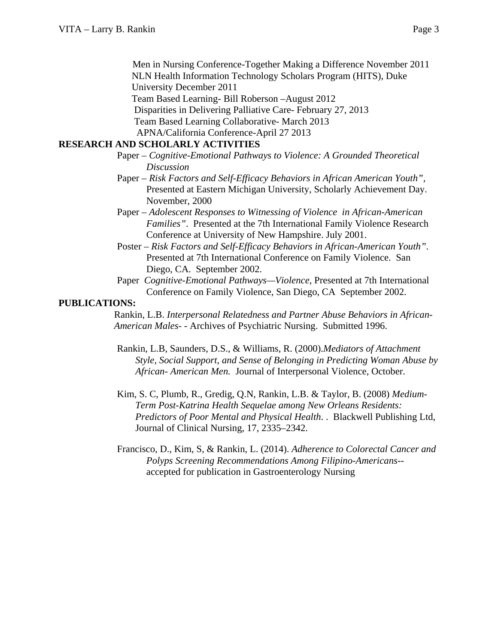Men in Nursing Conference-Together Making a Difference November 2011 NLN Health Information Technology Scholars Program (HITS), Duke University December 2011

Team Based Learning- Bill Roberson –August 2012

Disparities in Delivering Palliative Care- February 27, 2013

Team Based Learning Collaborative- March 2013

APNA/California Conference-April 27 2013

### **RESEARCH AND SCHOLARLY ACTIVITIES**

- Paper *Cognitive-Emotional Pathways to Violence: A Grounded Theoretical Discussion*
- Paper *Risk Factors and Self-Efficacy Behaviors in African American Youth",* Presented at Eastern Michigan University, Scholarly Achievement Day. November, 2000
- Paper *Adolescent Responses to Witnessing of Violence in African-American Families"*. Presented at the 7th International Family Violence Research Conference at University of New Hampshire. July 2001.
- Poster *Risk Factors and Self-Efficacy Behaviors in African-American Youth"*. Presented at 7th International Conference on Family Violence. San Diego, CA. September 2002.
- Paper *Cognitive-Emotional Pathways—Violence*, Presented at 7th International Conference on Family Violence, San Diego, CA September 2002.

### **PUBLICATIONS:**

Rankin, L.B. *Interpersonal Relatedness and Partner Abuse Behaviors in African-American Males-* - Archives of Psychiatric Nursing. Submitted 1996.

- Rankin, L.B, Saunders, D.S., & Williams, R. (2000).*Mediators of Attachment Style, Social Support, and Sense of Belonging in Predicting Woman Abuse by African- American Men.* Journal of Interpersonal Violence, October.
- Kim, S. C, Plumb, R., Gredig, Q.N, Rankin, L.B. & Taylor, B. (2008) *Medium-Term Post-Katrina Health Sequelae among New Orleans Residents: Predictors of Poor Mental and Physical Health*. . Blackwell Publishing Ltd, Journal of Clinical Nursing, 17, 2335–2342.
- Francisco, D., Kim, S, & Rankin, L. (2014). *Adherence to Colorectal Cancer and Polyps Screening Recommendations Among Filipino-Americans-* accepted for publication in Gastroenterology Nursing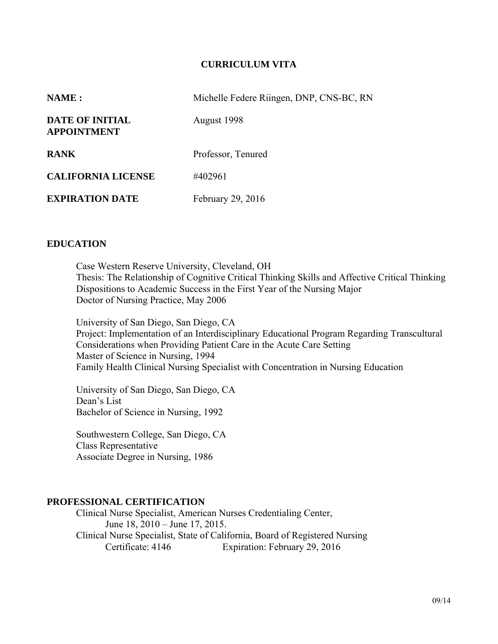### **CURRICULUM VITA**

| NAME :                                | Michelle Federe Riingen, DNP, CNS-BC, RN |
|---------------------------------------|------------------------------------------|
| DATE OF INITIAL<br><b>APPOINTMENT</b> | August 1998                              |
| <b>RANK</b>                           | Professor, Tenured                       |
| <b>CALIFORNIA LICENSE</b>             | #402961                                  |
| <b>EXPIRATION DATE</b>                | February 29, 2016                        |
|                                       |                                          |

### **EDUCATION**

Case Western Reserve University, Cleveland, OH Thesis: The Relationship of Cognitive Critical Thinking Skills and Affective Critical Thinking Dispositions to Academic Success in the First Year of the Nursing Major Doctor of Nursing Practice, May 2006

University of San Diego, San Diego, CA Project: Implementation of an Interdisciplinary Educational Program Regarding Transcultural Considerations when Providing Patient Care in the Acute Care Setting Master of Science in Nursing, 1994 Family Health Clinical Nursing Specialist with Concentration in Nursing Education

University of San Diego, San Diego, CA Dean's List Bachelor of Science in Nursing, 1992

Southwestern College, San Diego, CA Class Representative Associate Degree in Nursing, 1986

### **PROFESSIONAL CERTIFICATION**

 Clinical Nurse Specialist, American Nurses Credentialing Center, June 18, 2010 – June 17, 2015. Clinical Nurse Specialist, State of California, Board of Registered Nursing Certificate: 4146 Expiration: February 29, 2016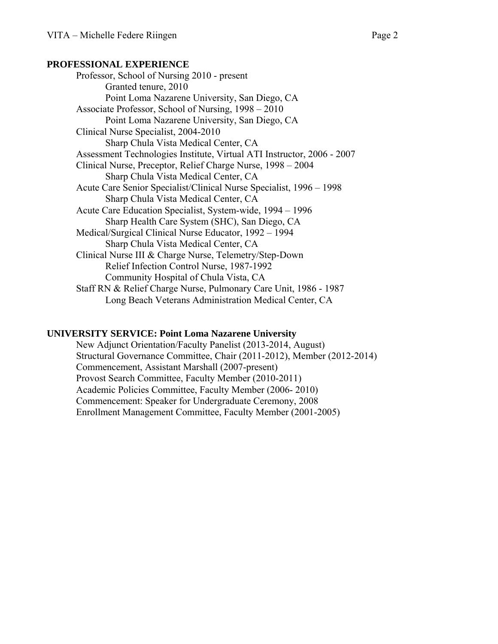### **PROFESSIONAL EXPERIENCE**

 Professor, School of Nursing 2010 - present Granted tenure, 2010 Point Loma Nazarene University, San Diego, CA Associate Professor, School of Nursing, 1998 – 2010 Point Loma Nazarene University, San Diego, CA Clinical Nurse Specialist, 2004-2010 Sharp Chula Vista Medical Center, CA Assessment Technologies Institute, Virtual ATI Instructor, 2006 - 2007 Clinical Nurse, Preceptor, Relief Charge Nurse, 1998 – 2004 Sharp Chula Vista Medical Center, CA Acute Care Senior Specialist/Clinical Nurse Specialist, 1996 – 1998 Sharp Chula Vista Medical Center, CA Acute Care Education Specialist, System-wide, 1994 – 1996 Sharp Health Care System (SHC), San Diego, CA Medical/Surgical Clinical Nurse Educator, 1992 – 1994 Sharp Chula Vista Medical Center, CA Clinical Nurse III & Charge Nurse, Telemetry/Step-Down Relief Infection Control Nurse, 1987-1992 Community Hospital of Chula Vista, CA Staff RN & Relief Charge Nurse, Pulmonary Care Unit, 1986 - 1987 Long Beach Veterans Administration Medical Center, CA

## **UNIVERSITY SERVICE: Point Loma Nazarene University**

 New Adjunct Orientation/Faculty Panelist (2013-2014, August) Structural Governance Committee, Chair (2011-2012), Member (2012-2014) Commencement, Assistant Marshall (2007-present) Provost Search Committee, Faculty Member (2010-2011) Academic Policies Committee, Faculty Member (2006- 2010) Commencement: Speaker for Undergraduate Ceremony, 2008 Enrollment Management Committee, Faculty Member (2001-2005)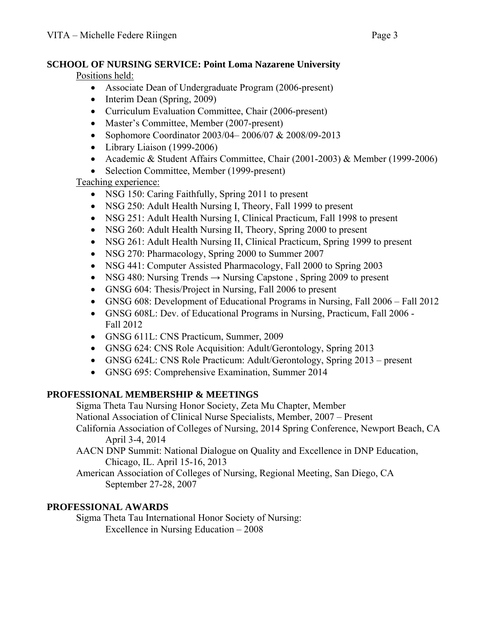# **SCHOOL OF NURSING SERVICE: Point Loma Nazarene University**

Positions held:

- Associate Dean of Undergraduate Program (2006-present)
- Interim Dean (Spring, 2009)
- Curriculum Evaluation Committee, Chair (2006-present)
- Master's Committee, Member (2007-present)
- Sophomore Coordinator 2003/04–2006/07 & 2008/09-2013
- Library Liaison (1999-2006)
- Academic & Student Affairs Committee, Chair (2001-2003) & Member (1999-2006)
- Selection Committee, Member (1999-present)

# Teaching experience:

- NSG 150: Caring Faithfully, Spring 2011 to present
- NSG 250: Adult Health Nursing I, Theory, Fall 1999 to present
- NSG 251: Adult Health Nursing I, Clinical Practicum, Fall 1998 to present
- NSG 260: Adult Health Nursing II, Theory, Spring 2000 to present
- NSG 261: Adult Health Nursing II, Clinical Practicum, Spring 1999 to present
- NSG 270: Pharmacology, Spring 2000 to Summer 2007
- NSG 441: Computer Assisted Pharmacology, Fall 2000 to Spring 2003
- NSG 480: Nursing Trends  $\rightarrow$  Nursing Capstone, Spring 2009 to present
- GNSG 604: Thesis/Project in Nursing, Fall 2006 to present
- GNSG 608: Development of Educational Programs in Nursing, Fall 2006 Fall 2012
- GNSG 608L: Dev. of Educational Programs in Nursing, Practicum, Fall 2006 Fall 2012
- GNSG 611L: CNS Practicum, Summer, 2009
- GNSG 624: CNS Role Acquisition: Adult/Gerontology, Spring 2013
- GNSG 624L: CNS Role Practicum: Adult/Gerontology, Spring 2013 present
- GNSG 695: Comprehensive Examination, Summer 2014

# **PROFESSIONAL MEMBERSHIP & MEETINGS**

Sigma Theta Tau Nursing Honor Society, Zeta Mu Chapter, Member

National Association of Clinical Nurse Specialists, Member, 2007 – Present

 California Association of Colleges of Nursing, 2014 Spring Conference, Newport Beach, CA April 3-4, 2014

AACN DNP Summit: National Dialogue on Quality and Excellence in DNP Education, Chicago, IL. April 15-16, 2013

 American Association of Colleges of Nursing, Regional Meeting, San Diego, CA September 27-28, 2007

# **PROFESSIONAL AWARDS**

Sigma Theta Tau International Honor Society of Nursing: Excellence in Nursing Education – 2008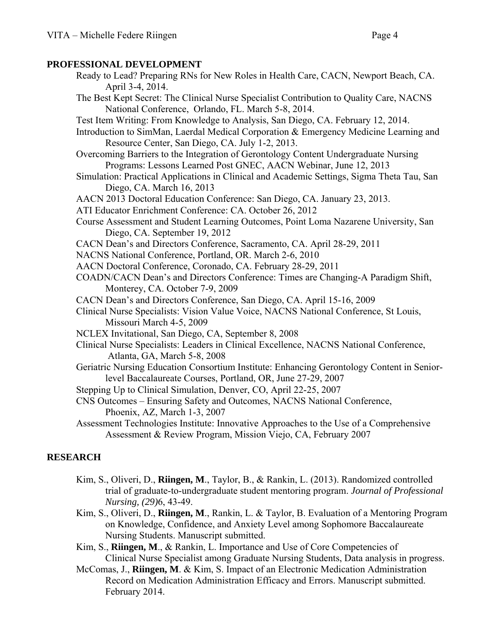### **PROFESSIONAL DEVELOPMENT**

Ready to Lead? Preparing RNs for New Roles in Health Care, CACN, Newport Beach, CA. April 3-4, 2014. The Best Kept Secret: The Clinical Nurse Specialist Contribution to Quality Care, NACNS National Conference, Orlando, FL. March 5-8, 2014.

Test Item Writing: From Knowledge to Analysis, San Diego, CA. February 12, 2014.

- Introduction to SimMan, Laerdal Medical Corporation & Emergency Medicine Learning and Resource Center, San Diego, CA. July 1-2, 2013.
- Overcoming Barriers to the Integration of Gerontology Content Undergraduate Nursing Programs: Lessons Learned Post GNEC, AACN Webinar, June 12, 2013
- Simulation: Practical Applications in Clinical and Academic Settings, Sigma Theta Tau, San Diego, CA. March 16, 2013

AACN 2013 Doctoral Education Conference: San Diego, CA. January 23, 2013.

- ATI Educator Enrichment Conference: CA. October 26, 2012
- Course Assessment and Student Learning Outcomes, Point Loma Nazarene University, San Diego, CA. September 19, 2012
- CACN Dean's and Directors Conference, Sacramento, CA. April 28-29, 2011
- NACNS National Conference, Portland, OR. March 2-6, 2010
- AACN Doctoral Conference, Coronado, CA. February 28-29, 2011
- COADN/CACN Dean's and Directors Conference: Times are Changing-A Paradigm Shift, Monterey, CA. October 7-9, 2009

CACN Dean's and Directors Conference, San Diego, CA. April 15-16, 2009

- Clinical Nurse Specialists: Vision Value Voice, NACNS National Conference, St Louis, Missouri March 4-5, 2009
- NCLEX Invitational, San Diego, CA, September 8, 2008
- Clinical Nurse Specialists: Leaders in Clinical Excellence, NACNS National Conference, Atlanta, GA, March 5-8, 2008
- Geriatric Nursing Education Consortium Institute: Enhancing Gerontology Content in Senior level Baccalaureate Courses, Portland, OR, June 27-29, 2007
- Stepping Up to Clinical Simulation, Denver, CO, April 22-25, 2007
- CNS Outcomes Ensuring Safety and Outcomes, NACNS National Conference, Phoenix, AZ, March 1-3, 2007
- Assessment Technologies Institute: Innovative Approaches to the Use of a Comprehensive Assessment & Review Program, Mission Viejo, CA, February 2007

# **RESEARCH**

- Kim, S., Oliveri, D., **Riingen, M**., Taylor, B., & Rankin, L. (2013). Randomized controlled trial of graduate-to-undergraduate student mentoring program. *Journal of Professional Nursing, (29)*6, 43-49.
- Kim, S., Oliveri, D., **Riingen, M**., Rankin, L. & Taylor, B. Evaluation of a Mentoring Program on Knowledge, Confidence, and Anxiety Level among Sophomore Baccalaureate Nursing Students. Manuscript submitted.
- Kim, S., **Riingen, M**., & Rankin, L. Importance and Use of Core Competencies of Clinical Nurse Specialist among Graduate Nursing Students, Data analysis in progress.
- McComas, J., **Riingen, M**. & Kim, S. Impact of an Electronic Medication Administration Record on Medication Administration Efficacy and Errors. Manuscript submitted. February 2014.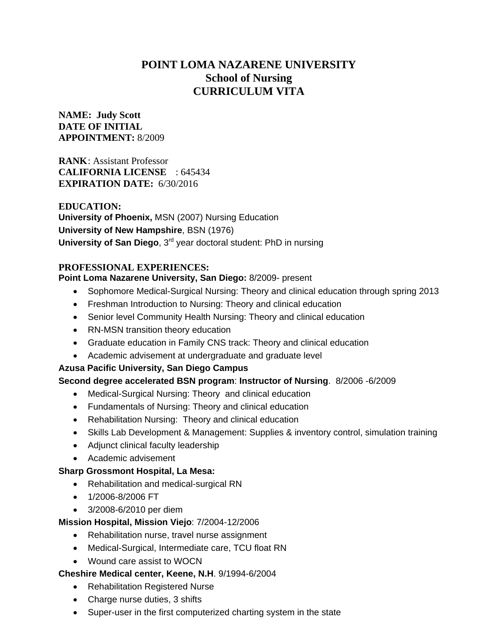# **POINT LOMA NAZARENE UNIVERSITY School of Nursing CURRICULUM VITA**

## **NAME: Judy Scott DATE OF INITIAL APPOINTMENT:** 8/2009

**RANK**: Assistant Professor **CALIFORNIA LICENSE** : 645434 **EXPIRATION DATE:** 6/30/2016

**EDUCATION: University of Phoenix,** MSN (2007) Nursing Education **University of New Hampshire**, BSN (1976) **University of San Diego**, 3<sup>rd</sup> year doctoral student: PhD in nursing

## **PROFESSIONAL EXPERIENCES:**

## **Point Loma Nazarene University, San Diego:** 8/2009- present

- Sophomore Medical-Surgical Nursing: Theory and clinical education through spring 2013
- Freshman Introduction to Nursing: Theory and clinical education
- Senior level Community Health Nursing: Theory and clinical education
- RN-MSN transition theory education
- Graduate education in Family CNS track: Theory and clinical education
- Academic advisement at undergraduate and graduate level

## **Azusa Pacific University, San Diego Campus**

## **Second degree accelerated BSN program**: **Instructor of Nursing**. 8/2006 -6/2009

- Medical-Surgical Nursing: Theory and clinical education
- Fundamentals of Nursing: Theory and clinical education
- Rehabilitation Nursing: Theory and clinical education
- Skills Lab Development & Management: Supplies & inventory control, simulation training
- Adjunct clinical faculty leadership
- Academic advisement

## **Sharp Grossmont Hospital, La Mesa:**

- Rehabilitation and medical-surgical RN
- 1/2006-8/2006 FT
- 3/2008-6/2010 per diem

## **Mission Hospital, Mission Viejo**: 7/2004-12/2006

- Rehabilitation nurse, travel nurse assignment
- Medical-Surgical, Intermediate care, TCU float RN
- Wound care assist to WOCN

## **Cheshire Medical center, Keene, N.H**. 9/1994-6/2004

- Rehabilitation Registered Nurse
- Charge nurse duties, 3 shifts
- Super-user in the first computerized charting system in the state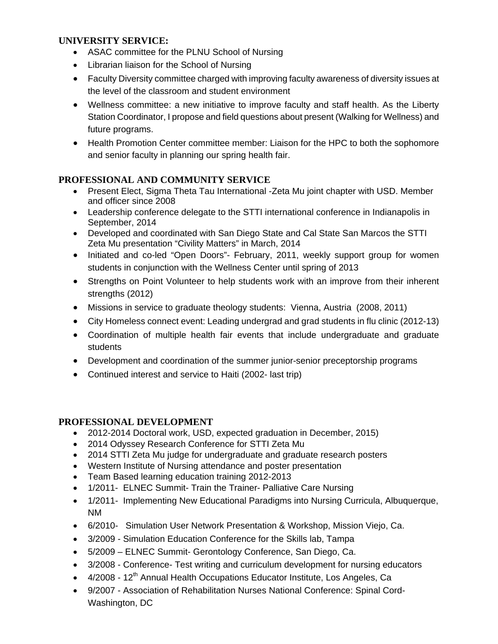## **UNIVERSITY SERVICE:**

- ASAC committee for the PLNU School of Nursing
- Librarian liaison for the School of Nursing
- Faculty Diversity committee charged with improving faculty awareness of diversity issues at the level of the classroom and student environment
- Wellness committee: a new initiative to improve faculty and staff health. As the Liberty Station Coordinator, I propose and field questions about present (Walking for Wellness) and future programs.
- Health Promotion Center committee member: Liaison for the HPC to both the sophomore and senior faculty in planning our spring health fair.

# **PROFESSIONAL AND COMMUNITY SERVICE**

- Present Elect, Sigma Theta Tau International -Zeta Mu joint chapter with USD. Member and officer since 2008
- Leadership conference delegate to the STTI international conference in Indianapolis in September, 2014
- Developed and coordinated with San Diego State and Cal State San Marcos the STTI Zeta Mu presentation "Civility Matters" in March, 2014
- Initiated and co-led "Open Doors"- February, 2011, weekly support group for women students in conjunction with the Wellness Center until spring of 2013
- Strengths on Point Volunteer to help students work with an improve from their inherent strengths (2012)
- Missions in service to graduate theology students: Vienna, Austria (2008, 2011)
- City Homeless connect event: Leading undergrad and grad students in flu clinic (2012-13)
- Coordination of multiple health fair events that include undergraduate and graduate students
- Development and coordination of the summer junior-senior preceptorship programs
- Continued interest and service to Haiti (2002- last trip)

## **PROFESSIONAL DEVELOPMENT**

- 2012-2014 Doctoral work, USD, expected graduation in December, 2015)
- 2014 Odyssey Research Conference for STTI Zeta Mu
- 2014 STTI Zeta Mu judge for undergraduate and graduate research posters
- Western Institute of Nursing attendance and poster presentation
- Team Based learning education training 2012-2013
- 1/2011- ELNEC Summit- Train the Trainer- Palliative Care Nursing
- 1/2011- Implementing New Educational Paradigms into Nursing Curricula, Albuquerque, NM
- 6/2010- Simulation User Network Presentation & Workshop, Mission Viejo, Ca.
- 3/2009 Simulation Education Conference for the Skills lab, Tampa
- 5/2009 ELNEC Summit- Gerontology Conference, San Diego, Ca.
- 3/2008 Conference- Test writing and curriculum development for nursing educators
- $\bullet$  4/2008 12<sup>th</sup> Annual Health Occupations Educator Institute, Los Angeles, Ca
- 9/2007 Association of Rehabilitation Nurses National Conference: Spinal Cord-Washington, DC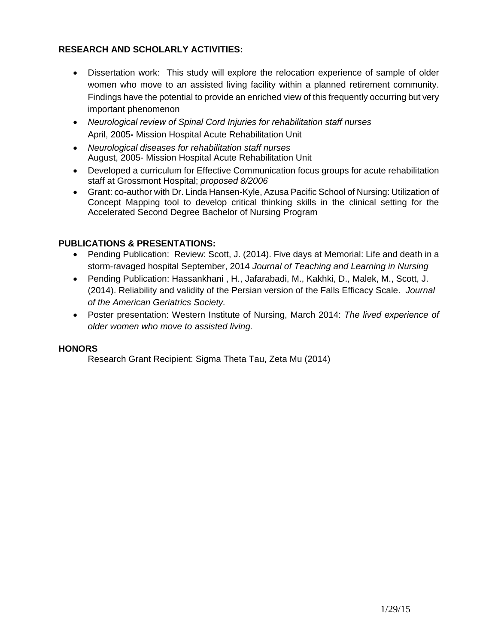## **RESEARCH AND SCHOLARLY ACTIVITIES:**

- Dissertation work: This study will explore the relocation experience of sample of older women who move to an assisted living facility within a planned retirement community. Findings have the potential to provide an enriched view of this frequently occurring but very important phenomenon
- *Neurological review of Spinal Cord Injuries for rehabilitation staff nurses*  April, 2005**-** Mission Hospital Acute Rehabilitation Unit
- *Neurological diseases for rehabilitation staff nurses*  August, 2005- Mission Hospital Acute Rehabilitation Unit
- Developed a curriculum for Effective Communication focus groups for acute rehabilitation staff at Grossmont Hospital; *proposed 8/2006*
- Grant: co-author with Dr. Linda Hansen-Kyle, Azusa Pacific School of Nursing: Utilization of Concept Mapping tool to develop critical thinking skills in the clinical setting for the Accelerated Second Degree Bachelor of Nursing Program

## **PUBLICATIONS & PRESENTATIONS:**

- Pending Publication: Review: Scott, J. (2014). Five days at Memorial: Life and death in a storm-ravaged hospital September, 2014 *Journal of Teaching and Learning in Nursing*
- Pending Publication: Hassankhani , H., Jafarabadi, M., Kakhki, D., Malek, M., Scott, J. (2014). Reliability and validity of the Persian version of the Falls Efficacy Scale. *Journal of the American Geriatrics Society.*
- Poster presentation: Western Institute of Nursing, March 2014: *The lived experience of older women who move to assisted living.*

## **HONORS**

Research Grant Recipient: Sigma Theta Tau, Zeta Mu (2014)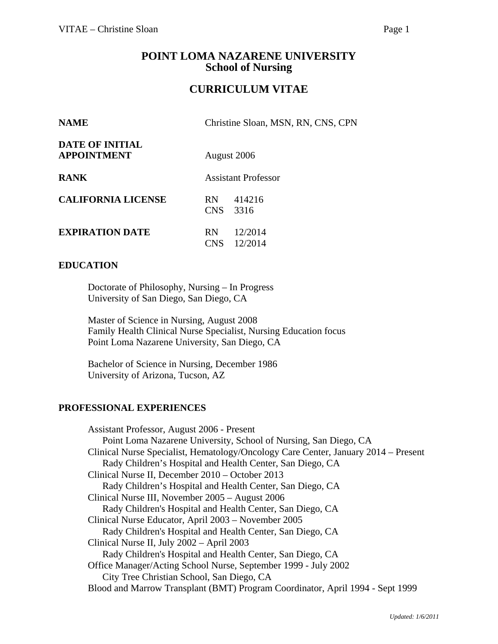# **POINT LOMA NAZARENE UNIVERSITY School of Nursing**

# **CURRICULUM VITAE**

| <b>NAME</b>                                  | Christine Sloan, MSN, RN, CNS, CPN            |
|----------------------------------------------|-----------------------------------------------|
| <b>DATE OF INITIAL</b><br><b>APPOINTMENT</b> | August 2006                                   |
| <b>RANK</b>                                  | <b>Assistant Professor</b>                    |
| <b>CALIFORNIA LICENSE</b>                    | 414216<br><b>RN</b><br>CNS<br>3316            |
| <b>EXPIRATION DATE</b>                       | 12/2014<br><b>RN</b><br>12/2014<br><b>CNS</b> |

### **EDUCATION**

Doctorate of Philosophy, Nursing – In Progress University of San Diego, San Diego, CA

Master of Science in Nursing, August 2008 Family Health Clinical Nurse Specialist, Nursing Education focus Point Loma Nazarene University, San Diego, CA

 Bachelor of Science in Nursing, December 1986 University of Arizona, Tucson, AZ

### **PROFESSIONAL EXPERIENCES**

Assistant Professor, August 2006 - Present Point Loma Nazarene University, School of Nursing, San Diego, CA Clinical Nurse Specialist, Hematology/Oncology Care Center, January 2014 – Present Rady Children's Hospital and Health Center, San Diego, CA Clinical Nurse II, December 2010 – October 2013 Rady Children's Hospital and Health Center, San Diego, CA Clinical Nurse III, November 2005 – August 2006 Rady Children's Hospital and Health Center, San Diego, CA Clinical Nurse Educator, April 2003 – November 2005 Rady Children's Hospital and Health Center, San Diego, CA Clinical Nurse II, July 2002 – April 2003 Rady Children's Hospital and Health Center, San Diego, CA Office Manager/Acting School Nurse, September 1999 - July 2002 City Tree Christian School, San Diego, CA Blood and Marrow Transplant (BMT) Program Coordinator, April 1994 - Sept 1999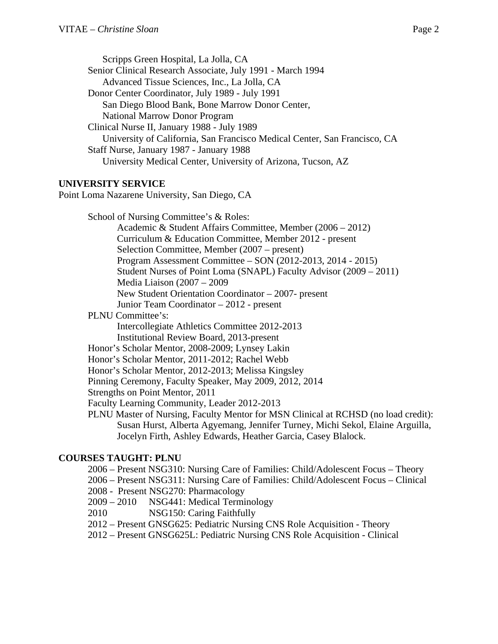Scripps Green Hospital, La Jolla, CA Senior Clinical Research Associate, July 1991 - March 1994 Advanced Tissue Sciences, Inc., La Jolla, CA Donor Center Coordinator, July 1989 - July 1991 San Diego Blood Bank, Bone Marrow Donor Center, National Marrow Donor Program Clinical Nurse II, January 1988 - July 1989 University of California, San Francisco Medical Center, San Francisco, CA Staff Nurse, January 1987 - January 1988 University Medical Center, University of Arizona, Tucson, AZ

### **UNIVERSITY SERVICE**

Point Loma Nazarene University, San Diego, CA

 School of Nursing Committee's & Roles: Academic & Student Affairs Committee, Member (2006 – 2012) Curriculum & Education Committee, Member 2012 - present Selection Committee, Member (2007 – present) Program Assessment Committee – SON (2012-2013, 2014 - 2015) Student Nurses of Point Loma (SNAPL) Faculty Advisor (2009 – 2011) Media Liaison (2007 – 2009 New Student Orientation Coordinator – 2007- present Junior Team Coordinator – 2012 - present PLNU Committee's: Intercollegiate Athletics Committee 2012-2013 Institutional Review Board, 2013-present Honor's Scholar Mentor, 2008-2009; Lynsey Lakin Honor's Scholar Mentor, 2011-2012; Rachel Webb Honor's Scholar Mentor, 2012-2013; Melissa Kingsley Pinning Ceremony, Faculty Speaker, May 2009, 2012, 2014

Strengths on Point Mentor, 2011

Faculty Learning Community, Leader 2012-2013

PLNU Master of Nursing, Faculty Mentor for MSN Clinical at RCHSD (no load credit): Susan Hurst, Alberta Agyemang, Jennifer Turney, Michi Sekol, Elaine Arguilla, Jocelyn Firth, Ashley Edwards, Heather Garcia, Casey Blalock.

### **COURSES TAUGHT: PLNU**

2006 – Present NSG310: Nursing Care of Families: Child/Adolescent Focus – Theory

2006 – Present NSG311: Nursing Care of Families: Child/Adolescent Focus – Clinical

2008 - Present NSG270: Pharmacology

2009 – 2010 NSG441: Medical Terminology

2010 NSG150: Caring Faithfully

2012 – Present GNSG625: Pediatric Nursing CNS Role Acquisition - Theory

2012 – Present GNSG625L: Pediatric Nursing CNS Role Acquisition - Clinical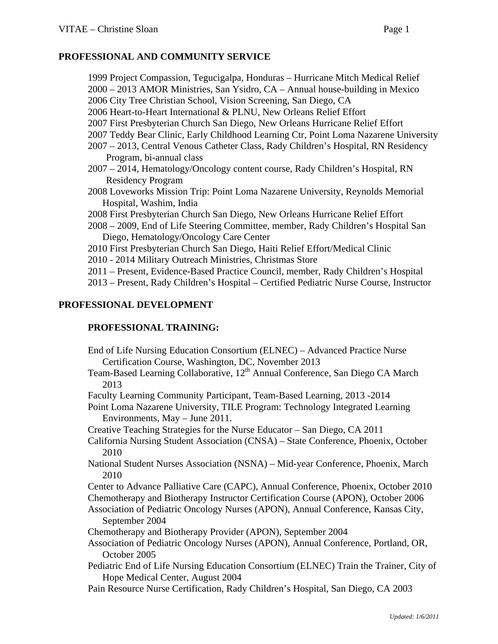### **PROFESSIONAL AND COMMUNITY SERVICE**

1999 Project Compassion, Tegucigalpa, Honduras – Hurricane Mitch Medical Relief 2000 – 2013 AMOR Ministries, San Ysidro, CA – Annual house-building in Mexico 2006 City Tree Christian School, Vision Screening, San Diego, CA 2006 Heart-to-Heart International & PLNU, New Orleans Relief Effort 2007 First Presbyterian Church San Diego, New Orleans Hurricane Relief Effort 2007 Teddy Bear Clinic, Early Childhood Learning Ctr, Point Loma Nazarene University 2007 – 2013, Central Venous Catheter Class, Rady Children's Hospital, RN Residency Program, bi-annual class 2007 – 2014, Hematology/Oncology content course, Rady Children's Hospital, RN Residency Program 2008 Loveworks Mission Trip: Point Loma Nazarene University, Reynolds Memorial Hospital, Washim, India 2008 First Presbyterian Church San Diego, New Orleans Hurricane Relief Effort 2008 – 2009, End of Life Steering Committee, member, Rady Children's Hospital San Diego, Hematology/Oncology Care Center

2010 First Presbyterian Church San Diego, Haiti Relief Effort/Medical Clinic

2010 - 2014 Military Outreach Ministries, Christmas Store

2011 – Present, Evidence-Based Practice Council, member, Rady Children's Hospital

2013 – Present, Rady Children's Hospital – Certified Pediatric Nurse Course, Instructor

### **PROFESSIONAL DEVELOPMENT**

## **PROFESSIONAL TRAINING:**

- End of Life Nursing Education Consortium (ELNEC) Advanced Practice Nurse Certification Course, Washington, DC, November 2013
- Team-Based Learning Collaborative, 12<sup>th</sup> Annual Conference, San Diego CA March 2013

Faculty Learning Community Participant, Team-Based Learning, 2013 -2014

Point Loma Nazarene University, TILE Program: Technology Integrated Learning Environments, May – June 2011.

Creative Teaching Strategies for the Nurse Educator – San Diego, CA 2011

California Nursing Student Association (CNSA) – State Conference, Phoenix, October 2010

National Student Nurses Association (NSNA) – Mid-year Conference, Phoenix, March 2010

Center to Advance Palliative Care (CAPC), Annual Conference, Phoenix, October 2010 Chemotherapy and Biotherapy Instructor Certification Course (APON), October 2006

Association of Pediatric Oncology Nurses (APON), Annual Conference, Kansas City, September 2004

Chemotherapy and Biotherapy Provider (APON), September 2004

Association of Pediatric Oncology Nurses (APON), Annual Conference, Portland, OR, October 2005

Pediatric End of Life Nursing Education Consortium (ELNEC) Train the Trainer, City of Hope Medical Center, August 2004

Pain Resource Nurse Certification, Rady Children's Hospital, San Diego, CA 2003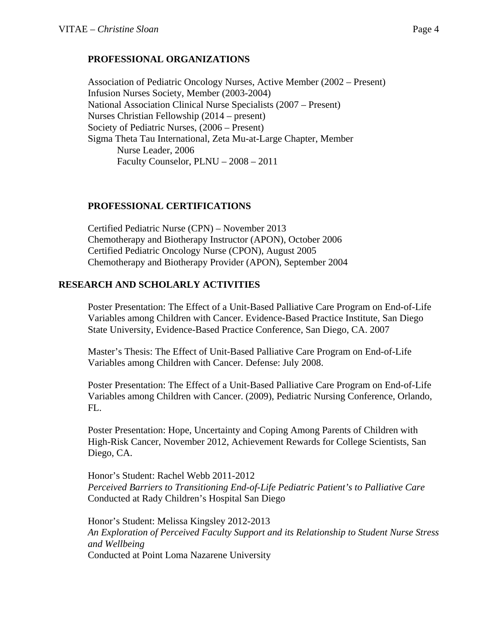Association of Pediatric Oncology Nurses, Active Member (2002 – Present) Infusion Nurses Society, Member (2003-2004) National Association Clinical Nurse Specialists (2007 – Present) Nurses Christian Fellowship (2014 – present) Society of Pediatric Nurses, (2006 – Present) Sigma Theta Tau International, Zeta Mu-at-Large Chapter, Member Nurse Leader, 2006 Faculty Counselor, PLNU – 2008 – 2011

# **PROFESSIONAL CERTIFICATIONS**

Certified Pediatric Nurse (CPN) – November 2013 Chemotherapy and Biotherapy Instructor (APON), October 2006 Certified Pediatric Oncology Nurse (CPON), August 2005 Chemotherapy and Biotherapy Provider (APON), September 2004

# **RESEARCH AND SCHOLARLY ACTIVITIES**

Poster Presentation: The Effect of a Unit-Based Palliative Care Program on End-of-Life Variables among Children with Cancer. Evidence-Based Practice Institute, San Diego State University, Evidence-Based Practice Conference, San Diego, CA. 2007

Master's Thesis: The Effect of Unit-Based Palliative Care Program on End-of-Life Variables among Children with Cancer. Defense: July 2008.

Poster Presentation: The Effect of a Unit-Based Palliative Care Program on End-of-Life Variables among Children with Cancer. (2009), Pediatric Nursing Conference, Orlando, FL.

Poster Presentation: Hope, Uncertainty and Coping Among Parents of Children with High-Risk Cancer, November 2012, Achievement Rewards for College Scientists, San Diego, CA.

Honor's Student: Rachel Webb 2011-2012 *Perceived Barriers to Transitioning End-of-Life Pediatric Patient's to Palliative Care*  Conducted at Rady Children's Hospital San Diego

Honor's Student: Melissa Kingsley 2012-2013 *An Exploration of Perceived Faculty Support and its Relationship to Student Nurse Stress and Wellbeing*  Conducted at Point Loma Nazarene University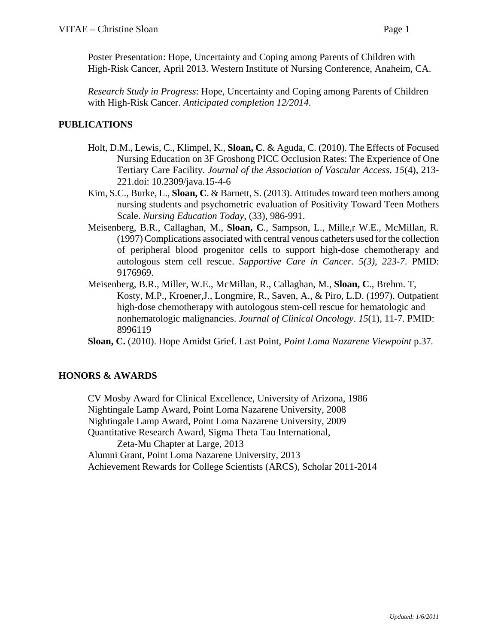Poster Presentation: Hope, Uncertainty and Coping among Parents of Children with High-Risk Cancer, April 2013. Western Institute of Nursing Conference, Anaheim, CA.

*Research Study in Progress*: Hope, Uncertainty and Coping among Parents of Children with High-Risk Cancer. *Anticipated completion 12/2014*.

## **PUBLICATIONS**

- Holt, D.M., Lewis, C., Klimpel, K., **Sloan, C**. & Aguda, C. (2010). The Effects of Focused Nursing Education on 3F Groshong PICC Occlusion Rates: The Experience of One Tertiary Care Facility. *Journal of the Association of Vascular Access, 15*(4), 213- 221.doi: 10.2309/java.15-4-6
- Kim, S.C., Burke, L., **Sloan, C**. & Barnett, S. (2013). Attitudes toward teen mothers among nursing students and psychometric evaluation of Positivity Toward Teen Mothers Scale. *Nursing Education Today*, (33), 986-991.
- Meisenberg, B.R., Callaghan, M., **Sloan, C**., Sampson, L., Mille,r W.E., McMillan, R. (1997) Complications associated with central venous catheters used for the collection of peripheral blood progenitor cells to support high-dose chemotherapy and autologous stem cell rescue. *Supportive Care in Cancer. 5(3), 223-7*. PMID: 9176969.
- Meisenberg, B.R., Miller, W.E., McMillan, R., Callaghan, M., **Sloan, C**., Brehm. T, Kosty, M.P., Kroener,J., Longmire, R., Saven, A., & Piro, L.D. (1997). Outpatient high-dose chemotherapy with autologous stem-cell rescue for hematologic and nonhematologic malignancies. *Journal of Clinical Oncology*. *15*(1), 11-7. PMID: 8996119

**Sloan, C.** (2010). Hope Amidst Grief. Last Point, *Point Loma Nazarene Viewpoint* p.37*.*

## **HONORS & AWARDS**

CV Mosby Award for Clinical Excellence, University of Arizona, 1986 Nightingale Lamp Award, Point Loma Nazarene University, 2008 Nightingale Lamp Award, Point Loma Nazarene University, 2009 Quantitative Research Award, Sigma Theta Tau International, Zeta-Mu Chapter at Large, 2013 Alumni Grant, Point Loma Nazarene University, 2013 Achievement Rewards for College Scientists (ARCS), Scholar 2011-2014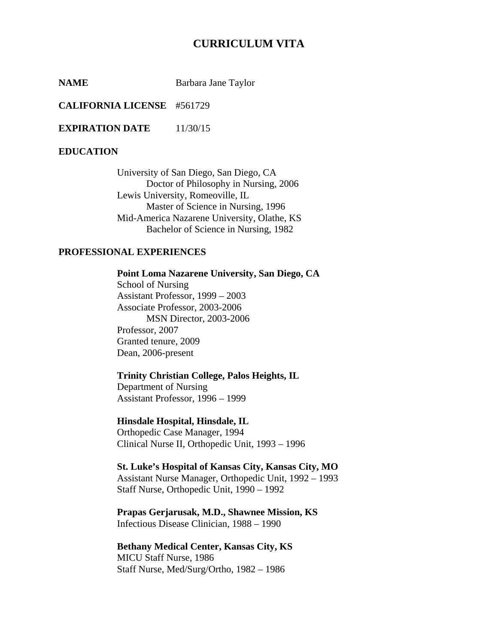# **CURRICULUM VITA**

**NAME** Barbara Jane Taylor

**CALIFORNIA LICENSE** #561729

**EXPIRATION DATE** 11/30/15

#### **EDUCATION**

 University of San Diego, San Diego, CA Doctor of Philosophy in Nursing, 2006 Lewis University, Romeoville, IL Master of Science in Nursing, 1996 Mid-America Nazarene University, Olathe, KS Bachelor of Science in Nursing, 1982

### **PROFESSIONAL EXPERIENCES**

 **Point Loma Nazarene University, San Diego, CA** School of Nursing Assistant Professor, 1999 – 2003

 Associate Professor, 2003-2006 MSN Director, 2003-2006 Professor, 2007 Granted tenure, 2009 Dean, 2006-present

## **Trinity Christian College, Palos Heights, IL**

Department of Nursing Assistant Professor, 1996 – 1999

### **Hinsdale Hospital, Hinsdale, IL**

Orthopedic Case Manager, 1994 Clinical Nurse II, Orthopedic Unit, 1993 – 1996

### **St. Luke's Hospital of Kansas City, Kansas City, MO** Assistant Nurse Manager, Orthopedic Unit, 1992 – 1993 Staff Nurse, Orthopedic Unit, 1990 – 1992

**Prapas Gerjarusak, M.D., Shawnee Mission, KS** Infectious Disease Clinician, 1988 – 1990

**Bethany Medical Center, Kansas City, KS** MICU Staff Nurse, 1986 Staff Nurse, Med/Surg/Ortho, 1982 – 1986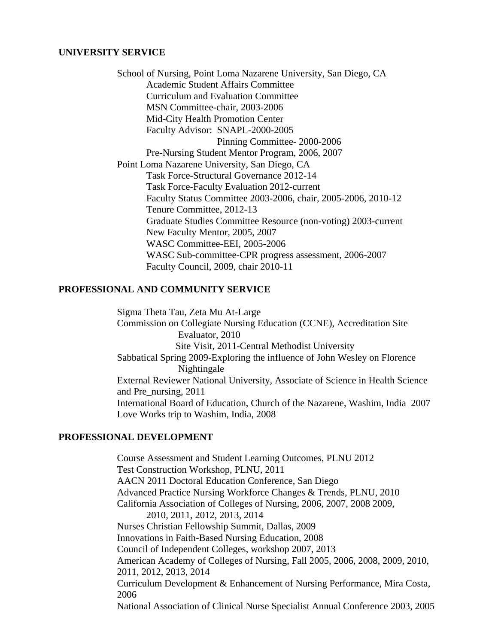#### **UNIVERSITY SERVICE**

 School of Nursing, Point Loma Nazarene University, San Diego, CA Academic Student Affairs Committee Curriculum and Evaluation Committee MSN Committee-chair, 2003-2006 Mid-City Health Promotion Center Faculty Advisor: SNAPL-2000-2005 Pinning Committee- 2000-2006 Pre-Nursing Student Mentor Program, 2006, 2007 Point Loma Nazarene University, San Diego, CA Task Force-Structural Governance 2012-14 Task Force-Faculty Evaluation 2012-current Faculty Status Committee 2003-2006, chair, 2005-2006, 2010-12 Tenure Committee, 2012-13 Graduate Studies Committee Resource (non-voting) 2003-current New Faculty Mentor, 2005, 2007 WASC Committee-EEI, 2005-2006 WASC Sub-committee-CPR progress assessment, 2006-2007 Faculty Council, 2009, chair 2010-11

### **PROFESSIONAL AND COMMUNITY SERVICE**

 Sigma Theta Tau, Zeta Mu At-Large Commission on Collegiate Nursing Education (CCNE), Accreditation Site Evaluator, 2010 Site Visit, 2011-Central Methodist University Sabbatical Spring 2009-Exploring the influence of John Wesley on Florence Nightingale External Reviewer National University, Associate of Science in Health Science and Pre\_nursing, 2011 International Board of Education, Church of the Nazarene, Washim, India 2007 Love Works trip to Washim, India, 2008

### **PROFESSIONAL DEVELOPMENT**

 Course Assessment and Student Learning Outcomes, PLNU 2012 Test Construction Workshop, PLNU, 2011 AACN 2011 Doctoral Education Conference, San Diego Advanced Practice Nursing Workforce Changes & Trends, PLNU, 2010 California Association of Colleges of Nursing, 2006, 2007, 2008 2009, 2010, 2011, 2012, 2013, 2014 Nurses Christian Fellowship Summit, Dallas, 2009 Innovations in Faith-Based Nursing Education, 2008 Council of Independent Colleges, workshop 2007, 2013 American Academy of Colleges of Nursing, Fall 2005, 2006, 2008, 2009, 2010, 2011, 2012, 2013, 2014 Curriculum Development & Enhancement of Nursing Performance, Mira Costa, 2006 National Association of Clinical Nurse Specialist Annual Conference 2003, 2005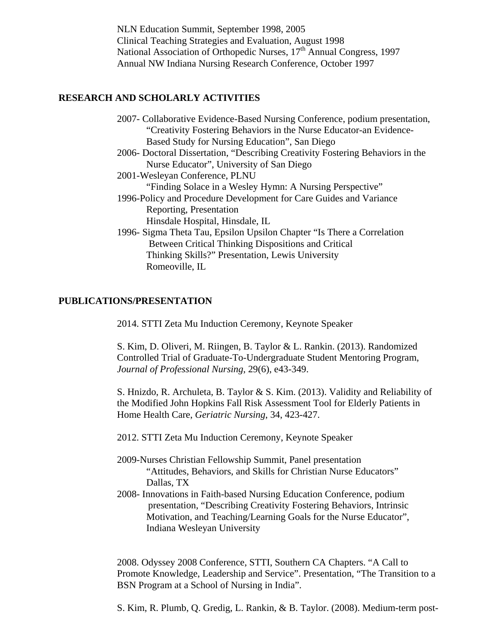NLN Education Summit, September 1998, 2005 Clinical Teaching Strategies and Evaluation, August 1998 National Association of Orthopedic Nurses, 17<sup>th</sup> Annual Congress, 1997 Annual NW Indiana Nursing Research Conference, October 1997

### **RESEARCH AND SCHOLARLY ACTIVITIES**

| 2007- Collaborative Evidence-Based Nursing Conference, podium presentation     |
|--------------------------------------------------------------------------------|
| "Creativity Fostering Behaviors in the Nurse Educator-an Evidence-             |
| Based Study for Nursing Education", San Diego                                  |
| 2006- Doctoral Dissertation, "Describing Creativity Fostering Behaviors in the |
| Nurse Educator", University of San Diego                                       |
| 2001-Wesleyan Conference, PLNU                                                 |
| "Finding Solace in a Wesley Hymn: A Nursing Perspective"                       |
| 1996-Policy and Procedure Development for Care Guides and Variance             |
| Reporting, Presentation                                                        |
| Hinsdale Hospital, Hinsdale, IL                                                |
| 1996- Sigma Theta Tau, Epsilon Upsilon Chapter "Is There a Correlation"        |
| Between Critical Thinking Dispositions and Critical                            |
| Thinking Skills?" Presentation, Lewis University                               |
| Romeoville, IL                                                                 |

#### **PUBLICATIONS/PRESENTATION**

2014. STTI Zeta Mu Induction Ceremony, Keynote Speaker

S. Kim, D. Oliveri, M. Riingen, B. Taylor & L. Rankin. (2013). Randomized Controlled Trial of Graduate-To-Undergraduate Student Mentoring Program, *Journal of Professional Nursing*, 29(6), e43-349.

S. Hnizdo, R. Archuleta, B. Taylor & S. Kim. (2013). Validity and Reliability of the Modified John Hopkins Fall Risk Assessment Tool for Elderly Patients in Home Health Care, *Geriatric Nursing*, 34, 423-427.

2012. STTI Zeta Mu Induction Ceremony, Keynote Speaker

- 2009-Nurses Christian Fellowship Summit, Panel presentation "Attitudes, Behaviors, and Skills for Christian Nurse Educators" Dallas, TX
- 2008- Innovations in Faith-based Nursing Education Conference, podium presentation, "Describing Creativity Fostering Behaviors, Intrinsic Motivation, and Teaching/Learning Goals for the Nurse Educator", Indiana Wesleyan University

2008. Odyssey 2008 Conference, STTI, Southern CA Chapters. "A Call to Promote Knowledge, Leadership and Service". Presentation, "The Transition to a BSN Program at a School of Nursing in India".

S. Kim, R. Plumb, Q. Gredig, L. Rankin, & B. Taylor. (2008). Medium-term post-